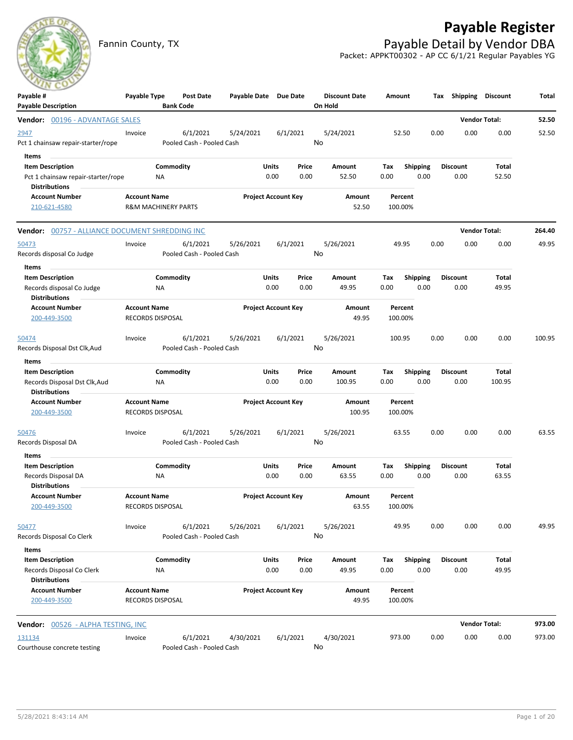# **Payable Register**



Fannin County, TX **Payable Detail by Vendor DBA** Packet: APPKT00302 - AP CC 6/1/21 Regular Payables YG

| Payable #<br><b>Payable Description</b>                                                        | Payable Type                                          |                 | Post Date<br><b>Bank Code</b>         | Payable Date Due Date |                            |               | <b>Discount Date</b><br>On Hold | Amount             |                         | Тах  | <b>Shipping</b>         | Discount              | Total  |
|------------------------------------------------------------------------------------------------|-------------------------------------------------------|-----------------|---------------------------------------|-----------------------|----------------------------|---------------|---------------------------------|--------------------|-------------------------|------|-------------------------|-----------------------|--------|
| <b>Vendor:</b> 00196 - ADVANTAGE SALES                                                         |                                                       |                 |                                       |                       |                            |               |                                 |                    |                         |      | <b>Vendor Total:</b>    |                       | 52.50  |
| 2947<br>Pct 1 chainsaw repair-starter/rope                                                     | Invoice                                               |                 | 6/1/2021<br>Pooled Cash - Pooled Cash | 5/24/2021             |                            | 6/1/2021      | 5/24/2021<br>No                 | 52.50              |                         | 0.00 | 0.00                    | 0.00                  | 52.50  |
| Items<br><b>Item Description</b><br>Pct 1 chainsaw repair-starter/rope<br><b>Distributions</b> |                                                       | Commodity<br>ΝA |                                       |                       | Units<br>0.00              | Price<br>0.00 | Amount<br>52.50                 | Tax<br>0.00        | <b>Shipping</b><br>0.00 |      | <b>Discount</b><br>0.00 | Total<br>52.50        |        |
| <b>Account Number</b><br>210-621-4580                                                          | <b>Account Name</b><br><b>R&amp;M MACHINERY PARTS</b> |                 |                                       |                       | <b>Project Account Key</b> |               | <b>Amount</b><br>52.50          | Percent<br>100.00% |                         |      |                         |                       |        |
| Vendor: 00757 - ALLIANCE DOCUMENT SHREDDING INC                                                |                                                       |                 |                                       |                       |                            |               |                                 |                    |                         |      |                         | <b>Vendor Total:</b>  | 264.40 |
| 50473<br>Records disposal Co Judge                                                             | Invoice                                               |                 | 6/1/2021<br>Pooled Cash - Pooled Cash | 5/26/2021             |                            | 6/1/2021      | 5/26/2021<br>No                 | 49.95              |                         | 0.00 | 0.00                    | 0.00                  | 49.95  |
| Items<br><b>Item Description</b><br>Records disposal Co Judge<br><b>Distributions</b>          |                                                       | Commodity<br>ΝA |                                       |                       | Units<br>0.00              | Price<br>0.00 | Amount<br>49.95                 | Tax<br>0.00        | <b>Shipping</b><br>0.00 |      | <b>Discount</b><br>0.00 | Total<br>49.95        |        |
| <b>Account Number</b><br>200-449-3500                                                          | <b>Account Name</b><br><b>RECORDS DISPOSAL</b>        |                 |                                       |                       | <b>Project Account Key</b> |               | Amount<br>49.95                 | Percent<br>100.00% |                         |      |                         |                       |        |
| 50474<br>Records Disposal Dst Clk, Aud<br>Items                                                | Invoice                                               |                 | 6/1/2021<br>Pooled Cash - Pooled Cash | 5/26/2021             |                            | 6/1/2021      | 5/26/2021<br>No                 | 100.95             |                         | 0.00 | 0.00                    | 0.00                  | 100.95 |
| <b>Item Description</b><br>Records Disposal Dst Clk, Aud<br><b>Distributions</b>               |                                                       | Commodity<br>ΝA |                                       |                       | Units<br>0.00              | Price<br>0.00 | Amount<br>100.95                | Tax<br>0.00        | <b>Shipping</b><br>0.00 |      | <b>Discount</b><br>0.00 | Total<br>100.95       |        |
| <b>Account Number</b><br>200-449-3500                                                          | <b>Account Name</b><br>RECORDS DISPOSAL               |                 |                                       |                       | <b>Project Account Key</b> |               | Amount<br>100.95                | Percent<br>100.00% |                         |      |                         |                       |        |
| 50476<br>Records Disposal DA                                                                   | Invoice                                               |                 | 6/1/2021<br>Pooled Cash - Pooled Cash | 5/26/2021             |                            | 6/1/2021      | 5/26/2021<br>No                 | 63.55              |                         | 0.00 | 0.00                    | 0.00                  | 63.55  |
| Items<br><b>Item Description</b><br>Records Disposal DA<br><b>Distributions</b>                |                                                       | Commodity<br>ΝA |                                       |                       | Units<br>0.00              | Price<br>0.00 | Amount<br>63.55                 | Tax<br>0.00        | <b>Shipping</b><br>0.00 |      | <b>Discount</b><br>0.00 | Total<br>63.55        |        |
| <b>Account Number</b><br>200-449-3500                                                          | <b>Account Name</b><br>RECORDS DISPOSAL               |                 |                                       |                       | <b>Project Account Key</b> |               | Amount<br>63.55                 | Percent<br>100.00% |                         |      |                         |                       |        |
| 50477<br>Records Disposal Co Clerk                                                             | Invoice                                               |                 | 6/1/2021<br>Pooled Cash - Pooled Cash | 5/26/2021             |                            | 6/1/2021      | 5/26/2021<br>No                 | 49.95              |                         | 0.00 | 0.00                    | 0.00                  | 49.95  |
| Items<br><b>Item Description</b><br>Records Disposal Co Clerk<br><b>Distributions</b>          |                                                       | Commodity<br>NA |                                       |                       | Units<br>0.00              | Price<br>0.00 | Amount<br>49.95                 | Tax<br>0.00        | Shipping<br>0.00        |      | <b>Discount</b><br>0.00 | <b>Total</b><br>49.95 |        |
| <b>Account Number</b><br>200-449-3500                                                          | <b>Account Name</b><br><b>RECORDS DISPOSAL</b>        |                 |                                       |                       | <b>Project Account Key</b> |               | Amount<br>49.95                 | Percent<br>100.00% |                         |      |                         |                       |        |
| <b>Vendor:</b> 00526 - ALPHA TESTING, INC                                                      |                                                       |                 |                                       |                       |                            |               |                                 |                    |                         |      | <b>Vendor Total:</b>    |                       | 973.00 |
| 131134<br>Courthouse concrete testing                                                          | Invoice                                               |                 | 6/1/2021<br>Pooled Cash - Pooled Cash | 4/30/2021             |                            | 6/1/2021      | 4/30/2021<br>No                 | 973.00             |                         | 0.00 | 0.00                    | 0.00                  | 973.00 |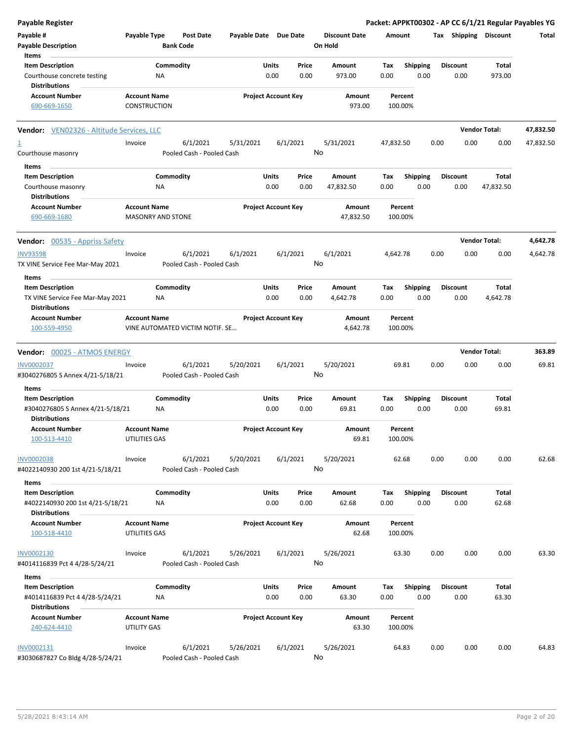| Payable Register                                                                    |                                                 |                        |                                       |                       |                            |               |                                 |             |                         |      |                         |                       | Packet: APPKT00302 - AP CC 6/1/21 Regular Payables YG |
|-------------------------------------------------------------------------------------|-------------------------------------------------|------------------------|---------------------------------------|-----------------------|----------------------------|---------------|---------------------------------|-------------|-------------------------|------|-------------------------|-----------------------|-------------------------------------------------------|
| Payable #<br><b>Payable Description</b>                                             | Payable Type                                    | <b>Bank Code</b>       | <b>Post Date</b>                      | Payable Date Due Date |                            |               | <b>Discount Date</b><br>On Hold | Amount      |                         |      |                         | Tax Shipping Discount | Total                                                 |
| Items<br><b>Item Description</b>                                                    |                                                 | Commodity              |                                       |                       | Units                      | Price         | Amount                          | Tax         | <b>Shipping</b>         |      | <b>Discount</b>         | Total                 |                                                       |
| Courthouse concrete testing                                                         |                                                 | NA                     |                                       |                       | 0.00                       | 0.00          | 973.00                          | 0.00        | 0.00                    |      | 0.00                    | 973.00                |                                                       |
| <b>Distributions</b><br><b>Account Number</b>                                       | <b>Account Name</b>                             |                        |                                       |                       | <b>Project Account Key</b> |               | Amount                          |             | Percent                 |      |                         |                       |                                                       |
| 690-669-1650                                                                        | <b>CONSTRUCTION</b>                             |                        |                                       |                       |                            |               | 973.00                          |             | 100.00%                 |      |                         |                       |                                                       |
| <b>Vendor:</b> VEN02326 - Altitude Services, LLC                                    |                                                 |                        |                                       |                       |                            |               |                                 |             |                         |      |                         | <b>Vendor Total:</b>  | 47,832.50                                             |
| $\overline{1}$                                                                      | Invoice                                         |                        | 6/1/2021                              | 5/31/2021             |                            | 6/1/2021      | 5/31/2021                       | 47,832.50   |                         | 0.00 | 0.00                    | 0.00                  | 47,832.50                                             |
| Courthouse masonry                                                                  |                                                 |                        | Pooled Cash - Pooled Cash             |                       |                            |               | No                              |             |                         |      |                         |                       |                                                       |
| Items                                                                               |                                                 |                        |                                       |                       |                            |               |                                 |             |                         |      |                         |                       |                                                       |
| <b>Item Description</b><br>Courthouse masonry                                       |                                                 | Commodity<br><b>NA</b> |                                       |                       | Units<br>0.00              | Price<br>0.00 | Amount<br>47,832.50             | Tax<br>0.00 | <b>Shipping</b><br>0.00 |      | <b>Discount</b><br>0.00 | Total<br>47,832.50    |                                                       |
| <b>Distributions</b>                                                                |                                                 |                        |                                       |                       |                            |               |                                 |             |                         |      |                         |                       |                                                       |
| <b>Account Number</b><br>690-669-1680                                               | <b>Account Name</b><br><b>MASONRY AND STONE</b> |                        |                                       |                       | <b>Project Account Key</b> |               | Amount<br>47,832.50             |             | Percent<br>100.00%      |      |                         |                       |                                                       |
| <b>Vendor:</b> 00535 - Appriss Safety                                               |                                                 |                        |                                       |                       |                            |               |                                 |             |                         |      |                         | <b>Vendor Total:</b>  | 4,642.78                                              |
| <b>INV93598</b>                                                                     | Invoice                                         |                        | 6/1/2021                              | 6/1/2021              |                            | 6/1/2021      | 6/1/2021                        | 4,642.78    |                         | 0.00 | 0.00                    | 0.00                  | 4,642.78                                              |
| TX VINE Service Fee Mar-May 2021                                                    |                                                 |                        | Pooled Cash - Pooled Cash             |                       |                            |               | No                              |             |                         |      |                         |                       |                                                       |
| Items                                                                               |                                                 |                        |                                       |                       |                            |               |                                 |             |                         |      |                         |                       |                                                       |
| <b>Item Description</b>                                                             |                                                 | Commodity              |                                       |                       | Units                      | Price         | Amount                          | Tax         | <b>Shipping</b>         |      | <b>Discount</b>         | Total                 |                                                       |
| TX VINE Service Fee Mar-May 2021<br>Distributions                                   |                                                 | NA                     |                                       |                       | 0.00                       | 0.00          | 4,642.78                        | 0.00        | 0.00                    |      | 0.00                    | 4,642.78              |                                                       |
| <b>Account Number</b>                                                               | <b>Account Name</b>                             |                        |                                       |                       | <b>Project Account Key</b> |               | Amount                          |             | Percent                 |      |                         |                       |                                                       |
| 100-559-4950                                                                        |                                                 |                        | VINE AUTOMATED VICTIM NOTIF. SE       |                       |                            |               | 4,642.78                        |             | 100.00%                 |      |                         |                       |                                                       |
| Vendor: 00025 - ATMOS ENERGY                                                        |                                                 |                        |                                       |                       |                            |               |                                 |             |                         |      |                         | <b>Vendor Total:</b>  | 363.89                                                |
| <b>INV0002037</b>                                                                   | Invoice                                         |                        | 6/1/2021                              | 5/20/2021             |                            | 6/1/2021      | 5/20/2021                       |             | 69.81                   | 0.00 | 0.00                    | 0.00                  | 69.81                                                 |
| #3040276805 S Annex 4/21-5/18/21                                                    |                                                 |                        | Pooled Cash - Pooled Cash             |                       |                            |               | No                              |             |                         |      |                         |                       |                                                       |
| Items                                                                               |                                                 |                        |                                       |                       |                            |               |                                 |             |                         |      |                         |                       |                                                       |
| <b>Item Description</b><br>#3040276805 S Annex 4/21-5/18/21<br><b>Distributions</b> |                                                 | Commodity<br>ΝA        |                                       |                       | Units<br>0.00              | Price<br>0.00 | Amount<br>69.81                 | Tax<br>0.00 | <b>Shipping</b><br>0.00 |      | <b>Discount</b><br>0.00 | Total<br>69.81        |                                                       |
| <b>Account Number</b>                                                               | <b>Account Name</b>                             |                        |                                       |                       | <b>Project Account Key</b> |               | Amount                          |             | Percent                 |      |                         |                       |                                                       |
| 100-513-4410                                                                        | UTILITIES GAS                                   |                        |                                       |                       |                            |               | 69.81                           |             | 100.00%                 |      |                         |                       |                                                       |
| INV0002038<br>#4022140930 200 1st 4/21-5/18/21                                      | Invoice                                         |                        | 6/1/2021<br>Pooled Cash - Pooled Cash | 5/20/2021             |                            | 6/1/2021      | 5/20/2021<br>No                 |             | 62.68                   | 0.00 | 0.00                    | 0.00                  | 62.68                                                 |
| Items                                                                               |                                                 |                        |                                       |                       |                            |               |                                 |             |                         |      |                         |                       |                                                       |
| <b>Item Description</b>                                                             |                                                 | Commodity              |                                       |                       | Units                      | Price         | Amount                          | Tax         | <b>Shipping</b>         |      | <b>Discount</b>         | <b>Total</b>          |                                                       |
| #4022140930 200 1st 4/21-5/18/21<br><b>Distributions</b>                            |                                                 | NA                     |                                       |                       | 0.00                       | 0.00          | 62.68                           | 0.00        | 0.00                    |      | 0.00                    | 62.68                 |                                                       |
| <b>Account Number</b>                                                               | <b>Account Name</b>                             |                        |                                       |                       | <b>Project Account Key</b> |               | Amount                          |             | Percent                 |      |                         |                       |                                                       |
| 100-518-4410                                                                        | UTILITIES GAS                                   |                        |                                       |                       |                            |               | 62.68                           |             | 100.00%                 |      |                         |                       |                                                       |
| INV0002130                                                                          | Invoice                                         |                        | 6/1/2021                              | 5/26/2021             |                            | 6/1/2021      | 5/26/2021                       |             | 63.30                   | 0.00 | 0.00                    | 0.00                  | 63.30                                                 |
| #4014116839 Pct 4 4/28-5/24/21                                                      |                                                 |                        | Pooled Cash - Pooled Cash             |                       |                            |               | No                              |             |                         |      |                         |                       |                                                       |
| Items                                                                               |                                                 |                        |                                       |                       |                            |               |                                 |             |                         |      |                         |                       |                                                       |
| <b>Item Description</b>                                                             |                                                 | Commodity              |                                       |                       | Units                      | Price         | Amount                          | Tax         | <b>Shipping</b>         |      | <b>Discount</b>         | Total                 |                                                       |
| #4014116839 Pct 4 4/28-5/24/21<br><b>Distributions</b>                              |                                                 | NA                     |                                       |                       | 0.00                       | 0.00          | 63.30                           | 0.00        | 0.00                    |      | 0.00                    | 63.30                 |                                                       |
| <b>Account Number</b>                                                               | <b>Account Name</b>                             |                        |                                       |                       | <b>Project Account Key</b> |               | Amount                          |             | Percent                 |      |                         |                       |                                                       |
| 240-624-4410                                                                        | UTILITY GAS                                     |                        |                                       |                       |                            |               | 63.30                           |             | 100.00%                 |      |                         |                       |                                                       |
| INV0002131                                                                          | Invoice                                         |                        | 6/1/2021                              | 5/26/2021             |                            | 6/1/2021      | 5/26/2021                       |             | 64.83                   | 0.00 | 0.00                    | 0.00                  | 64.83                                                 |
| #3030687827 Co Bldg 4/28-5/24/21                                                    |                                                 |                        | Pooled Cash - Pooled Cash             |                       |                            |               | No                              |             |                         |      |                         |                       |                                                       |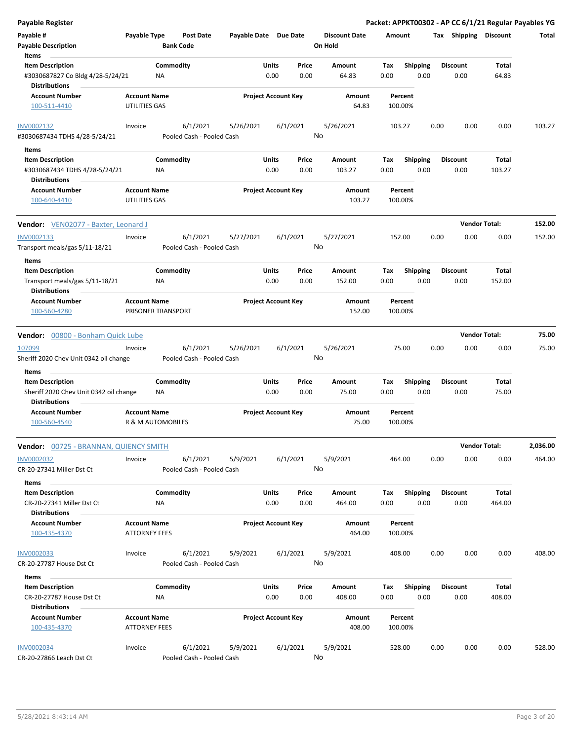| Payable Register                                                                    |                                             |                 |                                       |                       |               |                            |    |                                 |             |                         |      |                         | Packet: APPKT00302 - AP CC 6/1/21 Regular Payables YG |          |
|-------------------------------------------------------------------------------------|---------------------------------------------|-----------------|---------------------------------------|-----------------------|---------------|----------------------------|----|---------------------------------|-------------|-------------------------|------|-------------------------|-------------------------------------------------------|----------|
| Payable #<br><b>Payable Description</b>                                             | Payable Type                                |                 | Post Date<br><b>Bank Code</b>         | Payable Date Due Date |               |                            |    | <b>Discount Date</b><br>On Hold | Amount      |                         |      | Tax Shipping Discount   |                                                       | Total    |
| Items                                                                               |                                             |                 |                                       |                       |               |                            |    |                                 |             |                         |      |                         |                                                       |          |
| <b>Item Description</b><br>#3030687827 Co Bldg 4/28-5/24/21<br><b>Distributions</b> |                                             | Commodity<br>NA |                                       |                       | Units<br>0.00 | Price<br>0.00              |    | Amount<br>64.83                 | Tax<br>0.00 | <b>Shipping</b><br>0.00 |      | <b>Discount</b><br>0.00 | Total<br>64.83                                        |          |
| <b>Account Number</b>                                                               | <b>Account Name</b>                         |                 |                                       |                       |               | <b>Project Account Key</b> |    | Amount                          |             | Percent                 |      |                         |                                                       |          |
| 100-511-4410                                                                        | UTILITIES GAS                               |                 |                                       |                       |               |                            |    | 64.83                           |             | 100.00%                 |      |                         |                                                       |          |
| INV0002132<br>#3030687434 TDHS 4/28-5/24/21                                         | Invoice                                     |                 | 6/1/2021<br>Pooled Cash - Pooled Cash | 5/26/2021             |               | 6/1/2021                   | No | 5/26/2021                       |             | 103.27                  | 0.00 | 0.00                    | 0.00                                                  | 103.27   |
| Items                                                                               |                                             |                 |                                       |                       |               |                            |    |                                 |             |                         |      |                         |                                                       |          |
| <b>Item Description</b>                                                             |                                             | Commodity       |                                       |                       | Units         | Price                      |    | Amount                          | Tax         | <b>Shipping</b>         |      | <b>Discount</b>         | Total                                                 |          |
| #3030687434 TDHS 4/28-5/24/21<br><b>Distributions</b>                               |                                             | ΝA              |                                       |                       | 0.00          | 0.00                       |    | 103.27                          | 0.00        | 0.00                    |      | 0.00                    | 103.27                                                |          |
| <b>Account Number</b>                                                               | <b>Account Name</b>                         |                 |                                       |                       |               | <b>Project Account Key</b> |    | Amount                          |             | Percent                 |      |                         |                                                       |          |
| 100-640-4410                                                                        | UTILITIES GAS                               |                 |                                       |                       |               |                            |    | 103.27                          |             | 100.00%                 |      |                         |                                                       |          |
| Vendor: VEN02077 - Baxter, Leonard J                                                |                                             |                 |                                       |                       |               |                            |    |                                 |             |                         |      | <b>Vendor Total:</b>    |                                                       | 152.00   |
| INV0002133                                                                          | Invoice                                     |                 | 6/1/2021                              | 5/27/2021             |               | 6/1/2021                   |    | 5/27/2021                       |             | 152.00                  | 0.00 | 0.00                    | 0.00                                                  | 152.00   |
| Transport meals/gas 5/11-18/21<br>Items                                             |                                             |                 | Pooled Cash - Pooled Cash             |                       |               |                            | No |                                 |             |                         |      |                         |                                                       |          |
| <b>Item Description</b>                                                             |                                             | Commodity       |                                       |                       | Units         | Price                      |    | Amount                          | Tax         | <b>Shipping</b>         |      | <b>Discount</b>         | Total                                                 |          |
| Transport meals/gas 5/11-18/21<br><b>Distributions</b>                              |                                             | ΝA              |                                       |                       | 0.00          | 0.00                       |    | 152.00                          | 0.00        | 0.00                    |      | 0.00                    | 152.00                                                |          |
| <b>Account Number</b><br>100-560-4280                                               | <b>Account Name</b><br>PRISONER TRANSPORT   |                 |                                       |                       |               | <b>Project Account Key</b> |    | Amount<br>152.00                |             | Percent<br>100.00%      |      |                         |                                                       |          |
| Vendor: 00800 - Bonham Quick Lube                                                   |                                             |                 |                                       |                       |               |                            |    |                                 |             |                         |      | <b>Vendor Total:</b>    |                                                       | 75.00    |
| 107099                                                                              | Invoice                                     |                 | 6/1/2021                              | 5/26/2021             |               | 6/1/2021                   |    | 5/26/2021                       |             | 75.00                   | 0.00 | 0.00                    | 0.00                                                  | 75.00    |
| Sheriff 2020 Chev Unit 0342 oil change                                              |                                             |                 | Pooled Cash - Pooled Cash             |                       |               |                            | No |                                 |             |                         |      |                         |                                                       |          |
| Items<br><b>Item Description</b>                                                    |                                             | Commodity       |                                       |                       | Units         | Price                      |    | Amount                          | Tax         | Shipping                |      | <b>Discount</b>         | Total                                                 |          |
| Sheriff 2020 Chev Unit 0342 oil change<br><b>Distributions</b>                      |                                             | NA              |                                       |                       | 0.00          | 0.00                       |    | 75.00                           | 0.00        | 0.00                    |      | 0.00                    | 75.00                                                 |          |
| <b>Account Number</b><br>100-560-4540                                               | <b>Account Name</b><br>R & M AUTOMOBILES    |                 |                                       |                       |               | <b>Project Account Key</b> |    | <b>Amount</b><br>75.00          |             | Percent<br>100.00%      |      |                         |                                                       |          |
| <b>Vendor: 00725 - BRANNAN, QUIENCY SMITH</b>                                       |                                             |                 |                                       |                       |               |                            |    |                                 |             |                         |      | <b>Vendor Total:</b>    |                                                       | 2,036.00 |
| <b>INV0002032</b><br>CR-20-27341 Miller Dst Ct                                      | Invoice                                     |                 | 6/1/2021<br>Pooled Cash - Pooled Cash | 5/9/2021              |               | 6/1/2021                   | No | 5/9/2021                        |             | 464.00                  | 0.00 | 0.00                    | 0.00                                                  | 464.00   |
| Items                                                                               |                                             |                 |                                       |                       |               |                            |    |                                 |             |                         |      |                         |                                                       |          |
| <b>Item Description</b><br>CR-20-27341 Miller Dst Ct                                |                                             | Commodity<br>ΝA |                                       |                       | Units<br>0.00 | Price<br>0.00              |    | Amount<br>464.00                | Tax<br>0.00 | <b>Shipping</b><br>0.00 |      | <b>Discount</b><br>0.00 | Total<br>464.00                                       |          |
| <b>Distributions</b>                                                                |                                             |                 |                                       |                       |               |                            |    |                                 |             |                         |      |                         |                                                       |          |
| <b>Account Number</b><br>100-435-4370                                               | <b>Account Name</b><br><b>ATTORNEY FEES</b> |                 |                                       |                       |               | <b>Project Account Key</b> |    | Amount<br>464.00                |             | Percent<br>100.00%      |      |                         |                                                       |          |
| <b>INV0002033</b>                                                                   | Invoice                                     |                 | 6/1/2021                              | 5/9/2021              |               | 6/1/2021                   |    | 5/9/2021                        |             | 408.00                  | 0.00 | 0.00                    | 0.00                                                  | 408.00   |
| CR-20-27787 House Dst Ct                                                            |                                             |                 | Pooled Cash - Pooled Cash             |                       |               |                            | No |                                 |             |                         |      |                         |                                                       |          |
| Items                                                                               |                                             |                 |                                       |                       |               |                            |    |                                 |             |                         |      |                         |                                                       |          |
| <b>Item Description</b><br>CR-20-27787 House Dst Ct                                 |                                             | Commodity<br>ΝA |                                       |                       | Units<br>0.00 | Price<br>0.00              |    | Amount<br>408.00                | Tax<br>0.00 | <b>Shipping</b><br>0.00 |      | <b>Discount</b><br>0.00 | Total<br>408.00                                       |          |
| <b>Distributions</b>                                                                |                                             |                 |                                       |                       |               |                            |    |                                 |             |                         |      |                         |                                                       |          |
| <b>Account Number</b><br>100-435-4370                                               | <b>Account Name</b><br><b>ATTORNEY FEES</b> |                 |                                       |                       |               | <b>Project Account Key</b> |    | Amount<br>408.00                |             | Percent<br>100.00%      |      |                         |                                                       |          |
| <b>INV0002034</b>                                                                   | Invoice                                     |                 | 6/1/2021                              | 5/9/2021              |               | 6/1/2021                   |    | 5/9/2021                        |             | 528.00                  | 0.00 | 0.00                    | 0.00                                                  | 528.00   |
| CR-20-27866 Leach Dst Ct                                                            |                                             |                 | Pooled Cash - Pooled Cash             |                       |               |                            | No |                                 |             |                         |      |                         |                                                       |          |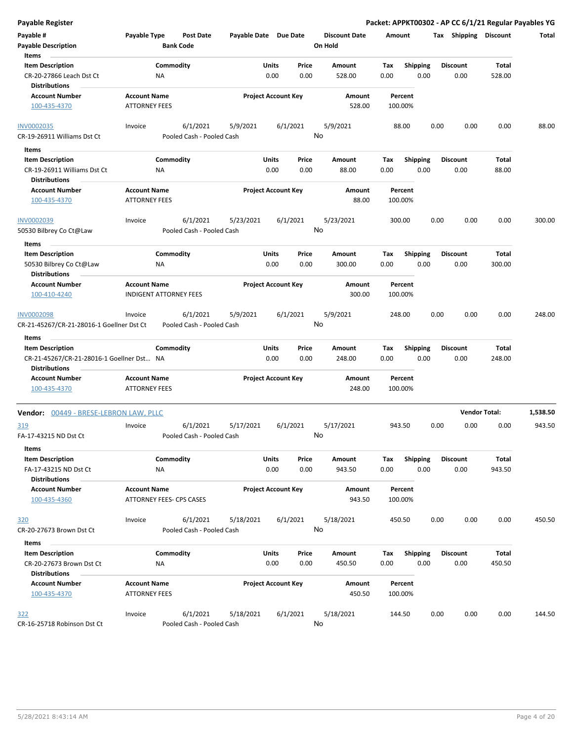| <b>Payable Register</b>                                           |                                             |                                       |                       |                            |               |                                 |                    |                         |      |                         | Packet: APPKT00302 - AP CC 6/1/21 Regular Payables YG |          |
|-------------------------------------------------------------------|---------------------------------------------|---------------------------------------|-----------------------|----------------------------|---------------|---------------------------------|--------------------|-------------------------|------|-------------------------|-------------------------------------------------------|----------|
| Payable #<br><b>Payable Description</b>                           | Payable Type                                | <b>Post Date</b><br><b>Bank Code</b>  | Payable Date Due Date |                            |               | <b>Discount Date</b><br>On Hold | Amount             |                         |      | Tax Shipping Discount   |                                                       | Total    |
| Items                                                             |                                             |                                       |                       |                            |               |                                 |                    |                         |      |                         |                                                       |          |
| <b>Item Description</b>                                           | Commodity                                   |                                       |                       | Units                      | Price         | Amount                          | Tax                | Shipping                |      | <b>Discount</b>         | Total                                                 |          |
| CR-20-27866 Leach Dst Ct<br><b>Distributions</b>                  | NA                                          |                                       |                       | 0.00                       | 0.00          | 528.00                          | 0.00               | 0.00                    |      | 0.00                    | 528.00                                                |          |
| <b>Account Number</b>                                             | <b>Account Name</b>                         |                                       |                       | <b>Project Account Key</b> |               | Amount                          | Percent            |                         |      |                         |                                                       |          |
| 100-435-4370                                                      | <b>ATTORNEY FEES</b>                        |                                       |                       |                            |               | 528.00                          | 100.00%            |                         |      |                         |                                                       |          |
| <b>INV0002035</b>                                                 | Invoice                                     | 6/1/2021                              | 5/9/2021              | 6/1/2021                   |               | 5/9/2021                        | 88.00              |                         | 0.00 | 0.00                    | 0.00                                                  | 88.00    |
| CR-19-26911 Williams Dst Ct                                       |                                             | Pooled Cash - Pooled Cash             |                       |                            |               | No                              |                    |                         |      |                         |                                                       |          |
| Items                                                             |                                             |                                       |                       |                            |               |                                 |                    |                         |      |                         |                                                       |          |
| <b>Item Description</b><br>CR-19-26911 Williams Dst Ct            | Commodity<br>ΝA                             |                                       |                       | Units<br>0.00              | Price<br>0.00 | Amount<br>88.00                 | Tax<br>0.00        | <b>Shipping</b><br>0.00 |      | <b>Discount</b><br>0.00 | Total<br>88.00                                        |          |
| <b>Distributions</b>                                              |                                             |                                       |                       |                            |               |                                 |                    |                         |      |                         |                                                       |          |
| <b>Account Number</b><br>100-435-4370                             | <b>Account Name</b><br><b>ATTORNEY FEES</b> |                                       |                       | <b>Project Account Key</b> |               | Amount<br>88.00                 | Percent<br>100.00% |                         |      |                         |                                                       |          |
| INV0002039                                                        | Invoice                                     | 6/1/2021                              | 5/23/2021             | 6/1/2021                   |               | 5/23/2021                       | 300.00             |                         | 0.00 | 0.00                    | 0.00                                                  | 300.00   |
| 50530 Bilbrey Co Ct@Law                                           |                                             | Pooled Cash - Pooled Cash             |                       |                            |               | No                              |                    |                         |      |                         |                                                       |          |
| Items                                                             |                                             |                                       |                       |                            |               |                                 |                    |                         |      |                         |                                                       |          |
| <b>Item Description</b>                                           | Commodity                                   |                                       |                       | Units                      | Price         | <b>Amount</b>                   | Tax                | <b>Shipping</b>         |      | <b>Discount</b>         | Total                                                 |          |
| 50530 Bilbrey Co Ct@Law                                           | ΝA                                          |                                       |                       | 0.00                       | 0.00          | 300.00                          | 0.00               | 0.00                    |      | 0.00                    | 300.00                                                |          |
| <b>Distributions</b>                                              |                                             |                                       |                       |                            |               |                                 |                    |                         |      |                         |                                                       |          |
| <b>Account Number</b>                                             | <b>Account Name</b>                         |                                       |                       | <b>Project Account Key</b> |               | Amount                          | Percent            |                         |      |                         |                                                       |          |
| 100-410-4240                                                      | <b>INDIGENT ATTORNEY FEES</b>               |                                       |                       |                            |               | 300.00                          | 100.00%            |                         |      |                         |                                                       |          |
| INV0002098<br>CR-21-45267/CR-21-28016-1 Goellner Dst Ct           | Invoice                                     | 6/1/2021<br>Pooled Cash - Pooled Cash | 5/9/2021              | 6/1/2021                   |               | 5/9/2021<br>No                  | 248.00             |                         | 0.00 | 0.00                    | 0.00                                                  | 248.00   |
|                                                                   |                                             |                                       |                       |                            |               |                                 |                    |                         |      |                         |                                                       |          |
| Items<br><b>Item Description</b>                                  | Commodity                                   |                                       |                       | Units                      | Price         | Amount                          | Tax                | <b>Shipping</b>         |      | <b>Discount</b>         | Total                                                 |          |
| CR-21-45267/CR-21-28016-1 Goellner Dst NA<br><b>Distributions</b> |                                             |                                       |                       | 0.00                       | 0.00          | 248.00                          | 0.00               | 0.00                    |      | 0.00                    | 248.00                                                |          |
| <b>Account Number</b>                                             | <b>Account Name</b>                         |                                       |                       | <b>Project Account Key</b> |               | Amount                          | Percent            |                         |      |                         |                                                       |          |
| 100-435-4370                                                      | <b>ATTORNEY FEES</b>                        |                                       |                       |                            |               | 248.00                          | 100.00%            |                         |      |                         |                                                       |          |
| <b>Vendor: 00449 - BRESE-LEBRON LAW, PLLC</b>                     |                                             |                                       |                       |                            |               |                                 |                    |                         |      |                         | <b>Vendor Total:</b>                                  | 1,538.50 |
| 319<br>FA-17-43215 ND Dst Ct                                      | Invoice                                     | 6/1/2021<br>Pooled Cash - Pooled Cash | 5/17/2021             | 6/1/2021                   |               | 5/17/2021<br>No                 | 943.50             |                         | 0.00 | 0.00                    | 0.00                                                  | 943.50   |
| Items                                                             |                                             |                                       |                       |                            |               |                                 |                    |                         |      |                         |                                                       |          |
| <b>Item Description</b>                                           | Commodity                                   |                                       |                       | Units                      | Price         | Amount                          | Tax                | <b>Shipping</b>         |      | <b>Discount</b>         | Total                                                 |          |
| FA-17-43215 ND Dst Ct                                             | NA                                          |                                       |                       | 0.00                       | 0.00          | 943.50                          | 0.00               | 0.00                    |      | 0.00                    | 943.50                                                |          |
| <b>Distributions</b>                                              |                                             |                                       |                       |                            |               |                                 |                    |                         |      |                         |                                                       |          |
| <b>Account Number</b>                                             | <b>Account Name</b>                         |                                       |                       | <b>Project Account Key</b> |               | Amount                          | Percent            |                         |      |                         |                                                       |          |
| 100-435-4360                                                      | ATTORNEY FEES- CPS CASES                    |                                       |                       |                            |               | 943.50                          | 100.00%            |                         |      |                         |                                                       |          |
| 320                                                               | Invoice                                     | 6/1/2021                              | 5/18/2021             | 6/1/2021                   |               | 5/18/2021                       | 450.50             |                         | 0.00 | 0.00                    | 0.00                                                  | 450.50   |
| CR-20-27673 Brown Dst Ct                                          |                                             | Pooled Cash - Pooled Cash             |                       |                            |               | No                              |                    |                         |      |                         |                                                       |          |
| Items                                                             |                                             |                                       |                       |                            |               |                                 |                    |                         |      |                         |                                                       |          |
| <b>Item Description</b>                                           | Commodity                                   |                                       |                       | Units                      | Price         | Amount                          | Tax                | <b>Shipping</b>         |      | <b>Discount</b>         | Total                                                 |          |
| CR-20-27673 Brown Dst Ct<br><b>Distributions</b>                  | NA                                          |                                       |                       | 0.00                       | 0.00          | 450.50                          | 0.00               | 0.00                    |      | 0.00                    | 450.50                                                |          |
| <b>Account Number</b>                                             | <b>Account Name</b>                         |                                       |                       | <b>Project Account Key</b> |               | Amount                          | Percent            |                         |      |                         |                                                       |          |
| 100-435-4370                                                      | <b>ATTORNEY FEES</b>                        |                                       |                       |                            |               | 450.50                          | 100.00%            |                         |      |                         |                                                       |          |
|                                                                   | Invoice                                     | 6/1/2021                              | 5/18/2021             | 6/1/2021                   |               | 5/18/2021                       | 144.50             |                         | 0.00 | 0.00                    | 0.00                                                  | 144.50   |
| 322<br>CR-16-25718 Robinson Dst Ct                                |                                             | Pooled Cash - Pooled Cash             |                       |                            |               | No                              |                    |                         |      |                         |                                                       |          |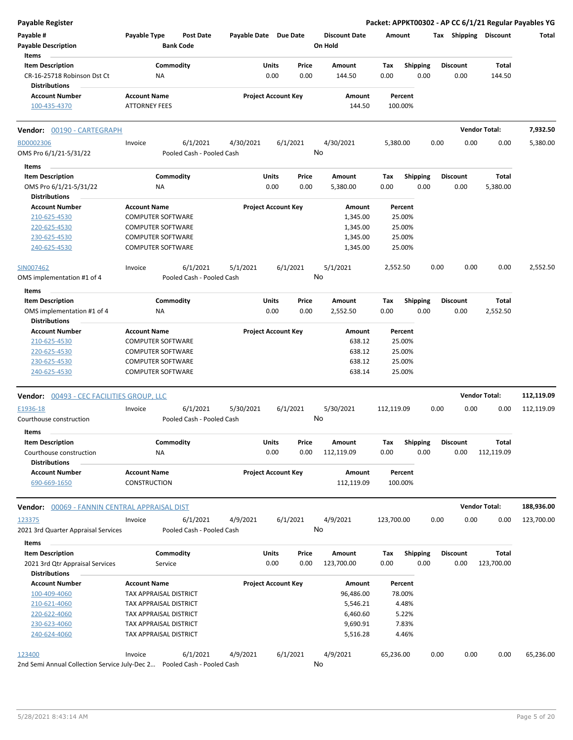| Payable Register                                 |                          |                           |                       |                            |          |                      |            |                 |      |                 |                       | Packet: APPKT00302 - AP CC 6/1/21 Regular Payables YG |
|--------------------------------------------------|--------------------------|---------------------------|-----------------------|----------------------------|----------|----------------------|------------|-----------------|------|-----------------|-----------------------|-------------------------------------------------------|
| Payable #                                        | Payable Type             | <b>Post Date</b>          | Payable Date Due Date |                            |          | <b>Discount Date</b> | Amount     |                 |      |                 | Tax Shipping Discount | Total                                                 |
| <b>Payable Description</b>                       |                          | <b>Bank Code</b>          |                       |                            |          | On Hold              |            |                 |      |                 |                       |                                                       |
| Items                                            |                          |                           |                       |                            |          |                      |            |                 |      |                 |                       |                                                       |
| <b>Item Description</b>                          |                          | Commodity                 |                       | Units                      | Price    | <b>Amount</b>        | Tax        | <b>Shipping</b> |      | <b>Discount</b> | Total                 |                                                       |
| CR-16-25718 Robinson Dst Ct                      | ΝA                       |                           |                       | 0.00                       | 0.00     | 144.50               | 0.00       | 0.00            |      | 0.00            | 144.50                |                                                       |
| <b>Distributions</b>                             |                          |                           |                       |                            |          |                      |            |                 |      |                 |                       |                                                       |
| <b>Account Number</b>                            | <b>Account Name</b>      |                           |                       | <b>Project Account Key</b> |          | Amount               | Percent    |                 |      |                 |                       |                                                       |
| 100-435-4370                                     | <b>ATTORNEY FEES</b>     |                           |                       |                            |          | 144.50               | 100.00%    |                 |      |                 |                       |                                                       |
|                                                  |                          |                           |                       |                            |          |                      |            |                 |      |                 |                       |                                                       |
| Vendor: 00190 - CARTEGRAPH                       |                          |                           |                       |                            |          |                      |            |                 |      |                 | <b>Vendor Total:</b>  | 7,932.50                                              |
| BD0002306                                        | Invoice                  | 6/1/2021                  | 4/30/2021             |                            | 6/1/2021 | 4/30/2021            | 5,380.00   |                 | 0.00 | 0.00            | 0.00                  | 5,380.00                                              |
| OMS Pro 6/1/21-5/31/22                           |                          | Pooled Cash - Pooled Cash |                       |                            |          | No                   |            |                 |      |                 |                       |                                                       |
| Items                                            |                          |                           |                       |                            |          |                      |            |                 |      |                 |                       |                                                       |
| <b>Item Description</b>                          |                          | Commodity                 |                       | Units                      | Price    | Amount               | Tax        | Shipping        |      | <b>Discount</b> | <b>Total</b>          |                                                       |
| OMS Pro 6/1/21-5/31/22                           | ΝA                       |                           |                       | 0.00                       | 0.00     | 5,380.00             | 0.00       | 0.00            |      | 0.00            | 5,380.00              |                                                       |
| <b>Distributions</b>                             |                          |                           |                       |                            |          |                      |            |                 |      |                 |                       |                                                       |
| <b>Account Number</b>                            | <b>Account Name</b>      |                           |                       | <b>Project Account Key</b> |          | Amount               | Percent    |                 |      |                 |                       |                                                       |
| 210-625-4530                                     | <b>COMPUTER SOFTWARE</b> |                           |                       |                            |          | 1,345.00             | 25.00%     |                 |      |                 |                       |                                                       |
|                                                  |                          |                           |                       |                            |          | 1,345.00             |            |                 |      |                 |                       |                                                       |
| 220-625-4530                                     | <b>COMPUTER SOFTWARE</b> |                           |                       |                            |          |                      | 25.00%     |                 |      |                 |                       |                                                       |
| 230-625-4530                                     | <b>COMPUTER SOFTWARE</b> |                           |                       |                            |          | 1,345.00             | 25.00%     |                 |      |                 |                       |                                                       |
| 240-625-4530                                     | <b>COMPUTER SOFTWARE</b> |                           |                       |                            |          | 1,345.00             | 25.00%     |                 |      |                 |                       |                                                       |
| SIN007462                                        | Invoice                  | 6/1/2021                  | 5/1/2021              |                            | 6/1/2021 | 5/1/2021             | 2,552.50   |                 | 0.00 | 0.00            | 0.00                  | 2,552.50                                              |
| OMS implementation #1 of 4                       |                          | Pooled Cash - Pooled Cash |                       |                            |          | No                   |            |                 |      |                 |                       |                                                       |
|                                                  |                          |                           |                       |                            |          |                      |            |                 |      |                 |                       |                                                       |
| Items                                            |                          |                           |                       |                            |          |                      |            |                 |      |                 |                       |                                                       |
| <b>Item Description</b>                          |                          | Commodity                 |                       | Units                      | Price    | Amount               | Tax        | <b>Shipping</b> |      | <b>Discount</b> | Total                 |                                                       |
| OMS implementation #1 of 4                       | ΝA                       |                           |                       | 0.00                       | 0.00     | 2,552.50             | 0.00       | 0.00            |      | 0.00            | 2,552.50              |                                                       |
| <b>Distributions</b>                             |                          |                           |                       |                            |          |                      |            |                 |      |                 |                       |                                                       |
| <b>Account Number</b>                            | <b>Account Name</b>      |                           |                       | <b>Project Account Key</b> |          | Amount               | Percent    |                 |      |                 |                       |                                                       |
| 210-625-4530                                     | <b>COMPUTER SOFTWARE</b> |                           |                       |                            |          | 638.12               | 25.00%     |                 |      |                 |                       |                                                       |
| 220-625-4530                                     | <b>COMPUTER SOFTWARE</b> |                           |                       |                            |          | 638.12               | 25.00%     |                 |      |                 |                       |                                                       |
| 230-625-4530                                     | <b>COMPUTER SOFTWARE</b> |                           |                       |                            |          | 638.12               | 25.00%     |                 |      |                 |                       |                                                       |
| 240-625-4530                                     | <b>COMPUTER SOFTWARE</b> |                           |                       |                            |          | 638.14               | 25.00%     |                 |      |                 |                       |                                                       |
|                                                  |                          |                           |                       |                            |          |                      |            |                 |      |                 |                       |                                                       |
| Vendor: 00493 - CEC FACILITIES GROUP, LLC        |                          |                           |                       |                            |          |                      |            |                 |      |                 | <b>Vendor Total:</b>  | 112,119.09                                            |
| E1936-18                                         | Invoice                  | 6/1/2021                  | 5/30/2021             |                            | 6/1/2021 | 5/30/2021            | 112,119.09 |                 | 0.00 | 0.00            | 0.00                  | 112,119.09                                            |
| Courthouse construction                          |                          | Pooled Cash - Pooled Cash |                       |                            |          | No                   |            |                 |      |                 |                       |                                                       |
| Items                                            |                          |                           |                       |                            |          |                      |            |                 |      |                 |                       |                                                       |
| <b>Item Description</b>                          |                          | Commodity                 |                       | Units                      | Price    | Amount               | Tax        | Shipping        |      | <b>Discount</b> | <b>Total</b>          |                                                       |
| Courthouse construction                          | ΝA                       |                           |                       | 0.00                       | 0.00     | 112,119.09           | 0.00       | 0.00            |      | 0.00            | 112,119.09            |                                                       |
| <b>Distributions</b>                             |                          |                           |                       |                            |          |                      |            |                 |      |                 |                       |                                                       |
| <b>Account Number</b>                            | <b>Account Name</b>      |                           |                       | <b>Project Account Key</b> |          | Amount               | Percent    |                 |      |                 |                       |                                                       |
| 690-669-1650                                     | CONSTRUCTION             |                           |                       |                            |          | 112,119.09           | 100.00%    |                 |      |                 |                       |                                                       |
|                                                  |                          |                           |                       |                            |          |                      |            |                 |      |                 |                       |                                                       |
| Vendor:<br>00069 - FANNIN CENTRAL APPRAISAL DIST |                          |                           |                       |                            |          |                      |            |                 |      |                 | <b>Vendor Total:</b>  | 188,936.00                                            |
| 123375                                           | Invoice                  | 6/1/2021                  | 4/9/2021              |                            | 6/1/2021 | 4/9/2021             | 123,700.00 |                 | 0.00 | 0.00            | 0.00                  | 123,700.00                                            |
| 2021 3rd Quarter Appraisal Services              |                          | Pooled Cash - Pooled Cash |                       |                            |          | No                   |            |                 |      |                 |                       |                                                       |
| Items                                            |                          |                           |                       |                            |          |                      |            |                 |      |                 |                       |                                                       |
| <b>Item Description</b>                          |                          | Commodity                 |                       | Units                      | Price    | <b>Amount</b>        | Tax        | <b>Shipping</b> |      | <b>Discount</b> | <b>Total</b>          |                                                       |
| 2021 3rd Qtr Appraisal Services                  | Service                  |                           |                       | 0.00                       | 0.00     | 123,700.00           | 0.00       | 0.00            |      | 0.00            | 123,700.00            |                                                       |
| Distributions                                    |                          |                           |                       |                            |          |                      |            |                 |      |                 |                       |                                                       |
| <b>Account Number</b>                            | <b>Account Name</b>      |                           |                       | <b>Project Account Key</b> |          | Amount               | Percent    |                 |      |                 |                       |                                                       |
| 100-409-4060                                     | TAX APPRAISAL DISTRICT   |                           |                       |                            |          | 96,486.00            | 78.00%     |                 |      |                 |                       |                                                       |
| 210-621-4060                                     | TAX APPRAISAL DISTRICT   |                           |                       |                            |          | 5,546.21             |            | 4.48%           |      |                 |                       |                                                       |
| 220-622-4060                                     | TAX APPRAISAL DISTRICT   |                           |                       |                            |          | 6,460.60             |            | 5.22%           |      |                 |                       |                                                       |
| 230-623-4060                                     | TAX APPRAISAL DISTRICT   |                           |                       |                            |          | 9,690.91             |            | 7.83%           |      |                 |                       |                                                       |
| 240-624-4060                                     | TAX APPRAISAL DISTRICT   |                           |                       |                            |          | 5,516.28             |            | 4.46%           |      |                 |                       |                                                       |
|                                                  |                          |                           |                       |                            |          |                      |            |                 |      |                 |                       |                                                       |
| 123400                                           | Invoice                  | 6/1/2021                  | 4/9/2021              |                            | 6/1/2021 | 4/9/2021             | 65,236.00  |                 | 0.00 | 0.00            | 0.00                  | 65,236.00                                             |
| 2nd Semi Annual Collection Service July-Dec 2    |                          | Pooled Cash - Pooled Cash |                       |                            |          | No                   |            |                 |      |                 |                       |                                                       |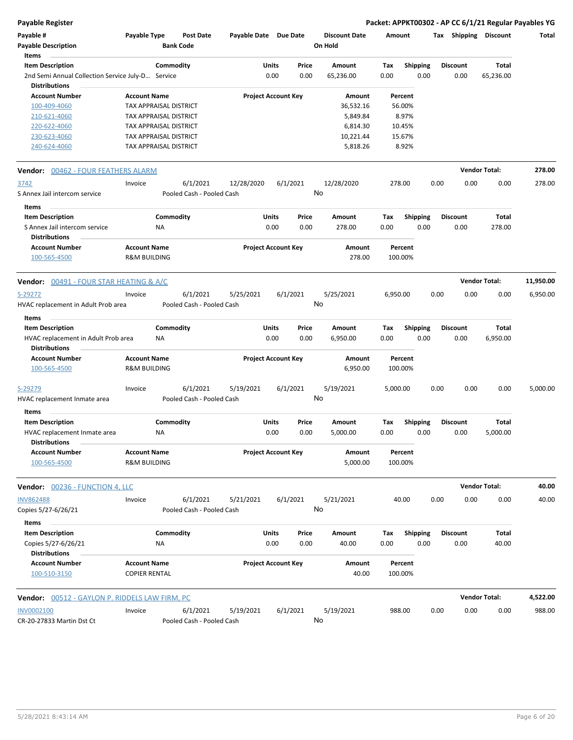**Payable Register Packet: APPKT00302 - AP CC 6/1/21 Regular Payables YG**

| Payable #<br><b>Payable Description</b>                     | Payable Type                                   |           | <b>Post Date</b><br><b>Bank Code</b>  | Payable Date Due Date |                            |          | <b>Discount Date</b><br>On Hold | Amount      |                         | Tax  | <b>Shipping</b>  | <b>Discount</b>      | Total     |
|-------------------------------------------------------------|------------------------------------------------|-----------|---------------------------------------|-----------------------|----------------------------|----------|---------------------------------|-------------|-------------------------|------|------------------|----------------------|-----------|
| <b>Items</b>                                                |                                                |           |                                       |                       |                            |          |                                 |             |                         |      |                  |                      |           |
| <b>Item Description</b>                                     |                                                | Commodity |                                       |                       | Units                      | Price    | Amount                          | Tax         | <b>Shipping</b>         |      | <b>Discount</b>  | Total                |           |
| 2nd Semi Annual Collection Service July-D Service           |                                                |           |                                       |                       | 0.00                       | 0.00     | 65,236.00                       | 0.00        | 0.00                    |      | 0.00             | 65,236.00            |           |
| <b>Distributions</b>                                        |                                                |           |                                       |                       |                            |          |                                 |             |                         |      |                  |                      |           |
| <b>Account Number</b>                                       | <b>Account Name</b>                            |           |                                       |                       | <b>Project Account Key</b> |          | Amount                          |             | Percent                 |      |                  |                      |           |
| 100-409-4060                                                | TAX APPRAISAL DISTRICT                         |           |                                       |                       |                            |          | 36,532.16                       |             | 56.00%                  |      |                  |                      |           |
| 210-621-4060                                                | TAX APPRAISAL DISTRICT                         |           |                                       |                       |                            |          | 5,849.84                        |             | 8.97%                   |      |                  |                      |           |
| 220-622-4060                                                | TAX APPRAISAL DISTRICT                         |           |                                       |                       |                            |          | 6,814.30                        |             | 10.45%                  |      |                  |                      |           |
| 230-623-4060                                                | TAX APPRAISAL DISTRICT                         |           |                                       |                       |                            |          | 10,221.44                       |             | 15.67%                  |      |                  |                      |           |
| 240-624-4060                                                | TAX APPRAISAL DISTRICT                         |           |                                       |                       |                            |          | 5,818.26                        |             | 8.92%                   |      |                  |                      |           |
| Vendor: 00462 - FOUR FEATHERS ALARM                         |                                                |           |                                       |                       |                            |          |                                 |             |                         |      |                  | <b>Vendor Total:</b> | 278.00    |
| 3742                                                        | Invoice                                        |           | 6/1/2021                              | 12/28/2020            |                            | 6/1/2021 | 12/28/2020                      | 278.00      |                         | 0.00 | 0.00             | 0.00                 | 278.00    |
| S Annex Jail intercom service                               |                                                |           | Pooled Cash - Pooled Cash             |                       |                            |          | No                              |             |                         |      |                  |                      |           |
| <b>Items</b>                                                |                                                |           |                                       |                       |                            |          |                                 |             |                         |      |                  |                      |           |
| <b>Item Description</b>                                     |                                                | Commodity |                                       |                       | Units                      | Price    | Amount                          | Tax         | <b>Shipping</b>         |      | <b>Discount</b>  | Total                |           |
| S Annex Jail intercom service                               |                                                | <b>NA</b> |                                       |                       | 0.00                       | 0.00     | 278.00                          | 0.00        | 0.00                    |      | 0.00             | 278.00               |           |
| <b>Distributions</b>                                        |                                                |           |                                       |                       |                            |          |                                 |             |                         |      |                  |                      |           |
| <b>Account Number</b>                                       | <b>Account Name</b>                            |           |                                       |                       | <b>Project Account Key</b> |          | Amount                          |             | Percent                 |      |                  |                      |           |
| 100-565-4500                                                | <b>R&amp;M BUILDING</b>                        |           |                                       |                       |                            |          | 278.00                          | 100.00%     |                         |      |                  |                      |           |
| <b>Vendor: 00491 - FOUR STAR HEATING &amp; A/C</b>          |                                                |           |                                       |                       |                            |          |                                 |             |                         |      |                  | <b>Vendor Total:</b> | 11,950.00 |
|                                                             |                                                |           |                                       |                       |                            |          |                                 |             |                         |      |                  |                      |           |
| S-29272                                                     | Invoice                                        |           | 6/1/2021                              | 5/25/2021             |                            | 6/1/2021 | 5/25/2021<br>No                 | 6,950.00    |                         | 0.00 | 0.00             | 0.00                 | 6,950.00  |
| HVAC replacement in Adult Prob area                         |                                                |           | Pooled Cash - Pooled Cash             |                       |                            |          |                                 |             |                         |      |                  |                      |           |
| Items                                                       |                                                |           |                                       |                       |                            |          |                                 |             |                         |      |                  |                      |           |
| <b>Item Description</b>                                     |                                                | Commodity |                                       |                       | Units                      | Price    | Amount                          | Tax         | <b>Shipping</b>         |      | <b>Discount</b>  | Total                |           |
| HVAC replacement in Adult Prob area<br><b>Distributions</b> |                                                | NA        |                                       |                       | 0.00                       | 0.00     | 6,950.00                        | 0.00        | 0.00                    |      | 0.00             | 6,950.00             |           |
| <b>Account Number</b><br>100-565-4500                       | <b>Account Name</b><br><b>R&amp;M BUILDING</b> |           |                                       |                       | <b>Project Account Key</b> |          | Amount<br>6,950.00              | 100.00%     | Percent                 |      |                  |                      |           |
| S-29279                                                     | Invoice                                        |           | 6/1/2021                              | 5/19/2021             |                            | 6/1/2021 | 5/19/2021                       | 5,000.00    |                         | 0.00 | 0.00             | 0.00                 | 5,000.00  |
| HVAC replacement Inmate area                                |                                                |           | Pooled Cash - Pooled Cash             |                       |                            |          | No                              |             |                         |      |                  |                      |           |
|                                                             |                                                |           |                                       |                       |                            |          |                                 |             |                         |      |                  |                      |           |
| Items                                                       |                                                |           |                                       |                       |                            |          |                                 |             |                         |      |                  |                      |           |
| <b>Item Description</b>                                     |                                                | Commodity |                                       |                       | Units                      | Price    | Amount                          | Tax         | <b>Shipping</b>         |      | <b>Discount</b>  | Total                |           |
| HVAC replacement Inmate area<br><b>Distributions</b>        |                                                | <b>NA</b> |                                       |                       | 0.00                       | 0.00     | 5,000.00                        | 0.00        | 0.00                    |      | 0.00             | 5,000.00             |           |
| <b>Account Number</b>                                       | <b>Account Name</b>                            |           |                                       |                       | <b>Project Account Key</b> |          | Amount                          |             | Percent                 |      |                  |                      |           |
| 100-565-4500                                                | R&M BUILDING                                   |           |                                       |                       |                            |          | 5,000.00                        | 100.00%     |                         |      |                  |                      |           |
| <b>Vendor: 00236 - FUNCTION 4, LLC</b>                      |                                                |           |                                       |                       |                            |          |                                 |             |                         |      |                  | <b>Vendor Total:</b> | 40.00     |
| <b>INV862488</b>                                            | Invoice                                        |           | 6/1/2021                              | 5/21/2021             |                            | 6/1/2021 | 5/21/2021                       | 40.00       |                         | 0.00 | 0.00             | 0.00                 | 40.00     |
| Copies 5/27-6/26/21                                         |                                                |           | Pooled Cash - Pooled Cash             |                       |                            |          | No                              |             |                         |      |                  |                      |           |
|                                                             |                                                |           |                                       |                       |                            |          |                                 |             |                         |      |                  |                      |           |
| Items                                                       |                                                |           |                                       |                       |                            |          |                                 |             |                         |      |                  |                      |           |
| <b>Item Description</b>                                     |                                                | Commodity |                                       |                       | Units<br>0.00              | Price    | Amount<br>40.00                 | Tax<br>0.00 | <b>Shipping</b><br>0.00 |      | Discount<br>0.00 | Total<br>40.00       |           |
| Copies 5/27-6/26/21                                         |                                                | ΝA        |                                       |                       |                            | 0.00     |                                 |             |                         |      |                  |                      |           |
| <b>Distributions</b><br><b>Account Number</b>               | <b>Account Name</b>                            |           |                                       |                       | <b>Project Account Key</b> |          | Amount                          | Percent     |                         |      |                  |                      |           |
| 100-510-3150                                                | <b>COPIER RENTAL</b>                           |           |                                       |                       |                            |          | 40.00                           | 100.00%     |                         |      |                  |                      |           |
| <b>Vendor:</b> 00512 - GAYLON P. RIDDELS LAW FIRM, PC       |                                                |           |                                       |                       |                            |          |                                 |             |                         |      |                  | <b>Vendor Total:</b> | 4,522.00  |
|                                                             |                                                |           |                                       |                       |                            |          |                                 | 988.00      |                         | 0.00 | 0.00             | 0.00                 | 988.00    |
| INV0002100<br>CR-20-27833 Martin Dst Ct                     | Invoice                                        |           | 6/1/2021<br>Pooled Cash - Pooled Cash | 5/19/2021             |                            | 6/1/2021 | 5/19/2021<br>No                 |             |                         |      |                  |                      |           |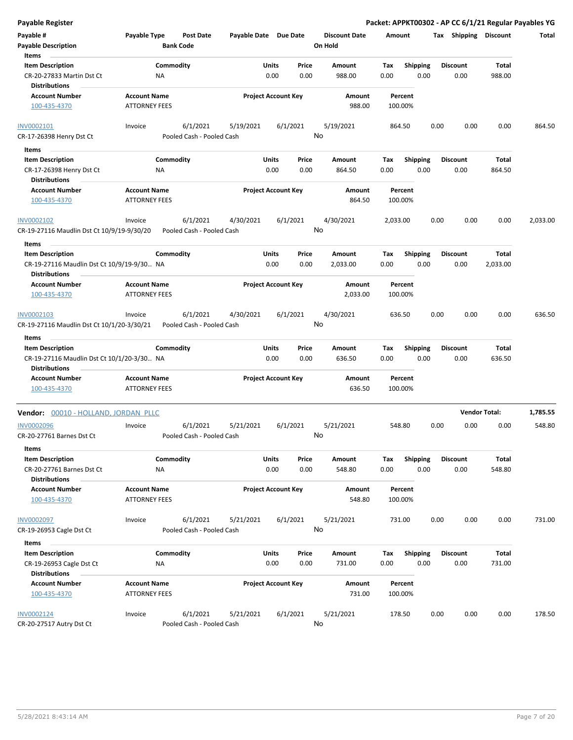| Payable Register                                                   |                                             |                                      |                       |                            |               |                                 |             |                    |      |                         |                      | Packet: APPKT00302 - AP CC 6/1/21 Regular Payables YG |
|--------------------------------------------------------------------|---------------------------------------------|--------------------------------------|-----------------------|----------------------------|---------------|---------------------------------|-------------|--------------------|------|-------------------------|----------------------|-------------------------------------------------------|
| Payable #<br><b>Payable Description</b>                            | Payable Type                                | <b>Post Date</b><br><b>Bank Code</b> | Payable Date Due Date |                            |               | <b>Discount Date</b><br>On Hold | Amount      |                    |      | Tax Shipping Discount   |                      | Total                                                 |
| Items                                                              |                                             |                                      |                       |                            |               |                                 |             |                    |      |                         |                      |                                                       |
| <b>Item Description</b><br>CR-20-27833 Martin Dst Ct               | Commodity<br>NA                             |                                      |                       | Units<br>0.00              | Price<br>0.00 | Amount<br>988.00                | Tax<br>0.00 | Shipping<br>0.00   |      | <b>Discount</b><br>0.00 | Total<br>988.00      |                                                       |
| <b>Distributions</b>                                               |                                             |                                      |                       |                            |               |                                 |             |                    |      |                         |                      |                                                       |
| <b>Account Number</b>                                              | <b>Account Name</b>                         |                                      |                       | <b>Project Account Key</b> |               | Amount                          |             | Percent            |      |                         |                      |                                                       |
| 100-435-4370                                                       | <b>ATTORNEY FEES</b>                        |                                      |                       |                            |               | 988.00                          |             | 100.00%            |      |                         |                      |                                                       |
| INV0002101                                                         | Invoice                                     | 6/1/2021                             | 5/19/2021             | 6/1/2021                   |               | 5/19/2021                       |             | 864.50             | 0.00 | 0.00                    | 0.00                 | 864.50                                                |
| CR-17-26398 Henry Dst Ct                                           |                                             | Pooled Cash - Pooled Cash            |                       |                            |               | No                              |             |                    |      |                         |                      |                                                       |
| Items<br>$\sim$                                                    |                                             |                                      |                       |                            |               |                                 |             |                    |      |                         |                      |                                                       |
| <b>Item Description</b>                                            | Commodity                                   |                                      |                       | Units                      | Price         | Amount                          | Tax         | <b>Shipping</b>    |      | <b>Discount</b>         | Total                |                                                       |
| CR-17-26398 Henry Dst Ct                                           | ΝA                                          |                                      |                       | 0.00                       | 0.00          | 864.50                          | 0.00        | 0.00               |      | 0.00                    | 864.50               |                                                       |
| <b>Distributions</b>                                               |                                             |                                      |                       |                            |               |                                 |             |                    |      |                         |                      |                                                       |
| <b>Account Number</b><br>100-435-4370                              | <b>Account Name</b><br><b>ATTORNEY FEES</b> |                                      |                       | <b>Project Account Key</b> |               | Amount<br>864.50                |             | Percent<br>100.00% |      |                         |                      |                                                       |
| INV0002102                                                         | Invoice                                     | 6/1/2021                             | 4/30/2021             | 6/1/2021                   |               | 4/30/2021                       | 2,033.00    |                    | 0.00 | 0.00                    | 0.00                 | 2,033.00                                              |
| CR-19-27116 Maudlin Dst Ct 10/9/19-9/30/20                         |                                             | Pooled Cash - Pooled Cash            |                       |                            |               | No                              |             |                    |      |                         |                      |                                                       |
| Items                                                              |                                             |                                      |                       |                            |               |                                 |             |                    |      |                         |                      |                                                       |
| <b>Item Description</b>                                            | Commodity                                   |                                      |                       | Units                      | Price         | Amount                          | Tax         | <b>Shipping</b>    |      | <b>Discount</b>         | Total                |                                                       |
| CR-19-27116 Maudlin Dst Ct 10/9/19-9/30 NA<br><b>Distributions</b> |                                             |                                      |                       | 0.00                       | 0.00          | 2,033.00                        | 0.00        | 0.00               |      | 0.00                    | 2,033.00             |                                                       |
| <b>Account Number</b>                                              | <b>Account Name</b>                         |                                      |                       | <b>Project Account Key</b> |               | Amount                          |             | Percent            |      |                         |                      |                                                       |
| 100-435-4370                                                       | <b>ATTORNEY FEES</b>                        |                                      |                       |                            |               | 2,033.00                        |             | 100.00%            |      |                         |                      |                                                       |
| INV0002103                                                         | Invoice                                     | 6/1/2021                             | 4/30/2021             | 6/1/2021                   |               | 4/30/2021                       |             | 636.50             | 0.00 | 0.00                    | 0.00                 | 636.50                                                |
| CR-19-27116 Maudlin Dst Ct 10/1/20-3/30/21                         |                                             | Pooled Cash - Pooled Cash            |                       |                            |               | No                              |             |                    |      |                         |                      |                                                       |
| Items                                                              |                                             |                                      |                       |                            |               |                                 |             |                    |      |                         |                      |                                                       |
| <b>Item Description</b>                                            | Commodity                                   |                                      |                       | <b>Units</b>               | Price         | Amount                          | Tax         | <b>Shipping</b>    |      | <b>Discount</b>         | Total                |                                                       |
| CR-19-27116 Maudlin Dst Ct 10/1/20-3/30 NA                         |                                             |                                      |                       | 0.00                       | 0.00          | 636.50                          | 0.00        | 0.00               |      | 0.00                    | 636.50               |                                                       |
| <b>Distributions</b>                                               |                                             |                                      |                       |                            |               |                                 |             |                    |      |                         |                      |                                                       |
| <b>Account Number</b><br>100-435-4370                              | <b>Account Name</b><br><b>ATTORNEY FEES</b> |                                      |                       | <b>Project Account Key</b> |               | Amount<br>636.50                |             | Percent<br>100.00% |      |                         |                      |                                                       |
| Vendor: 00010 - HOLLAND, JORDAN PLLC                               |                                             |                                      |                       |                            |               |                                 |             |                    |      |                         | <b>Vendor Total:</b> | 1,785.55                                              |
| <b>INV0002096</b>                                                  | Invoice                                     | 6/1/2021                             | 5/21/2021             | 6/1/2021                   |               | 5/21/2021                       | 548.80      |                    | 0.00 | 0.00                    | 0.00                 | 548.80                                                |
| CR-20-27761 Barnes Dst Ct                                          |                                             | Pooled Cash - Pooled Cash            |                       |                            |               | No l                            |             |                    |      |                         |                      |                                                       |
| Items<br><b>Item Description</b>                                   | Commodity                                   |                                      |                       | <b>Units</b>               | Price         | Amount                          | Tax         | <b>Shipping</b>    |      | <b>Discount</b>         | Total                |                                                       |
| CR-20-27761 Barnes Dst Ct                                          | NA                                          |                                      |                       | 0.00                       | 0.00          | 548.80                          | 0.00        | 0.00               |      | 0.00                    | 548.80               |                                                       |
| <b>Distributions</b>                                               |                                             |                                      |                       |                            |               |                                 |             |                    |      |                         |                      |                                                       |
| <b>Account Number</b>                                              | <b>Account Name</b>                         |                                      |                       | <b>Project Account Key</b> |               | Amount                          |             | Percent            |      |                         |                      |                                                       |
| 100-435-4370                                                       | <b>ATTORNEY FEES</b>                        |                                      |                       |                            |               | 548.80                          |             | 100.00%            |      |                         |                      |                                                       |
| <b>INV0002097</b>                                                  | Invoice                                     | 6/1/2021                             | 5/21/2021             | 6/1/2021                   |               | 5/21/2021                       | 731.00      |                    | 0.00 | 0.00                    | 0.00                 | 731.00                                                |
| CR-19-26953 Cagle Dst Ct                                           |                                             | Pooled Cash - Pooled Cash            |                       |                            |               | No                              |             |                    |      |                         |                      |                                                       |
| Items                                                              |                                             |                                      |                       |                            |               |                                 |             |                    |      |                         |                      |                                                       |
| <b>Item Description</b>                                            | Commodity                                   |                                      |                       | <b>Units</b>               | Price         | Amount                          | Tax         | <b>Shipping</b>    |      | <b>Discount</b>         | <b>Total</b>         |                                                       |
| CR-19-26953 Cagle Dst Ct<br><b>Distributions</b>                   | NA                                          |                                      |                       | 0.00                       | 0.00          | 731.00                          | 0.00        | 0.00               |      | 0.00                    | 731.00               |                                                       |
| <b>Account Number</b>                                              | <b>Account Name</b>                         |                                      |                       | <b>Project Account Key</b> |               | Amount                          |             | Percent            |      |                         |                      |                                                       |
| 100-435-4370                                                       | <b>ATTORNEY FEES</b>                        |                                      |                       |                            |               | 731.00                          |             | 100.00%            |      |                         |                      |                                                       |
| INV0002124                                                         | Invoice                                     | 6/1/2021                             | 5/21/2021             | 6/1/2021                   |               | 5/21/2021                       |             | 178.50             | 0.00 | 0.00                    | 0.00                 | 178.50                                                |
| CR-20-27517 Autry Dst Ct                                           |                                             | Pooled Cash - Pooled Cash            |                       |                            |               | No                              |             |                    |      |                         |                      |                                                       |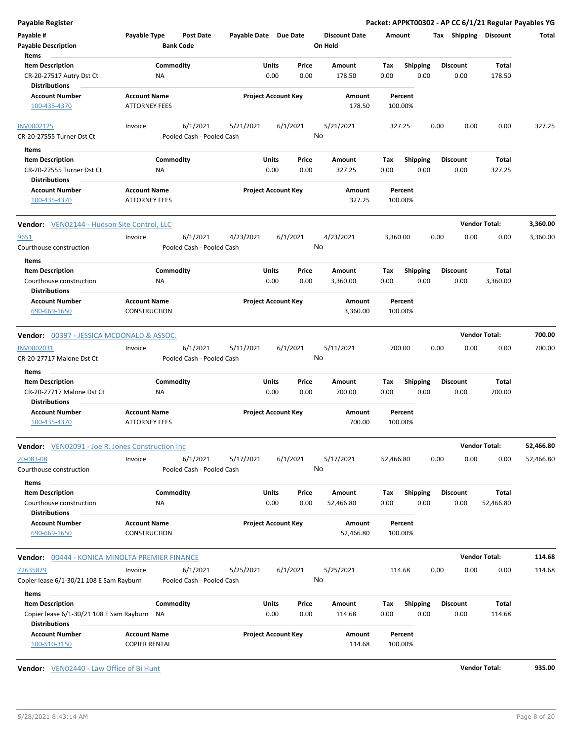| <b>Payable Register</b>                                                                      |                      |                  |                                       |                       |                                    |               |                      |             |                         |      |                         |                       | Packet: APPKT00302 - AP CC 6/1/21 Regular Payables YG |
|----------------------------------------------------------------------------------------------|----------------------|------------------|---------------------------------------|-----------------------|------------------------------------|---------------|----------------------|-------------|-------------------------|------|-------------------------|-----------------------|-------------------------------------------------------|
| Payable #                                                                                    | Payable Type         |                  | <b>Post Date</b>                      | Payable Date Due Date |                                    |               | <b>Discount Date</b> | Amount      |                         |      |                         | Tax Shipping Discount | Total                                                 |
| <b>Payable Description</b>                                                                   |                      | <b>Bank Code</b> |                                       |                       |                                    |               | On Hold              |             |                         |      |                         |                       |                                                       |
| Items                                                                                        |                      |                  |                                       |                       |                                    |               |                      |             |                         |      |                         |                       |                                                       |
| <b>Item Description</b>                                                                      |                      | Commodity        |                                       |                       | Units                              | Price         | Amount               | Tax         | Shipping                |      | <b>Discount</b>         | Total                 |                                                       |
| CR-20-27517 Autry Dst Ct<br><b>Distributions</b>                                             |                      | ΝA               |                                       |                       | 0.00                               | 0.00          | 178.50               | 0.00        | 0.00                    |      | 0.00                    | 178.50                |                                                       |
| <b>Account Number</b>                                                                        | <b>Account Name</b>  |                  |                                       |                       | <b>Project Account Key</b>         |               | Amount               |             | Percent                 |      |                         |                       |                                                       |
| 100-435-4370                                                                                 | <b>ATTORNEY FEES</b> |                  |                                       |                       |                                    |               | 178.50               |             | 100.00%                 |      |                         |                       |                                                       |
| INV0002125<br>CR-20-27555 Turner Dst Ct                                                      | Invoice              |                  | 6/1/2021<br>Pooled Cash - Pooled Cash | 5/21/2021             |                                    | 6/1/2021      | 5/21/2021<br>No      |             | 327.25                  | 0.00 | 0.00                    | 0.00                  | 327.25                                                |
| Items                                                                                        |                      |                  |                                       |                       |                                    |               |                      |             |                         |      |                         |                       |                                                       |
| <b>Item Description</b>                                                                      |                      | Commodity        |                                       |                       | Units                              | Price         | Amount               | Tax         | <b>Shipping</b>         |      | <b>Discount</b>         | Total                 |                                                       |
| CR-20-27555 Turner Dst Ct<br><b>Distributions</b>                                            |                      | ΝA               |                                       |                       | 0.00                               | 0.00          | 327.25               | 0.00        | 0.00                    |      | 0.00                    | 327.25                |                                                       |
| <b>Account Number</b>                                                                        | <b>Account Name</b>  |                  |                                       |                       | <b>Project Account Key</b>         |               | Amount               |             | Percent                 |      |                         |                       |                                                       |
| 100-435-4370                                                                                 | <b>ATTORNEY FEES</b> |                  |                                       |                       |                                    |               | 327.25               |             | 100.00%                 |      |                         |                       |                                                       |
| <b>Vendor:</b> VEN02144 - Hudson Site Control, LLC                                           |                      |                  |                                       |                       |                                    |               |                      |             |                         |      |                         | <b>Vendor Total:</b>  | 3,360.00                                              |
| 9651                                                                                         | Invoice              |                  | 6/1/2021                              | 4/23/2021             |                                    | 6/1/2021      | 4/23/2021            | 3,360.00    |                         | 0.00 | 0.00                    | 0.00                  | 3,360.00                                              |
| Courthouse construction                                                                      |                      |                  | Pooled Cash - Pooled Cash             |                       |                                    |               | No                   |             |                         |      |                         |                       |                                                       |
| Items                                                                                        |                      |                  |                                       |                       |                                    |               |                      |             |                         |      |                         |                       |                                                       |
| <b>Item Description</b>                                                                      |                      | Commodity        |                                       |                       | Units                              | Price         | Amount               | Tax         | <b>Shipping</b>         |      | <b>Discount</b>         | Total                 |                                                       |
| Courthouse construction<br><b>Distributions</b>                                              |                      | NA               |                                       |                       | 0.00                               | 0.00          | 3,360.00             | 0.00        | 0.00                    |      | 0.00                    | 3,360.00              |                                                       |
| <b>Account Number</b>                                                                        | <b>Account Name</b>  |                  |                                       |                       | <b>Project Account Key</b>         |               | Amount               |             | Percent                 |      |                         |                       |                                                       |
| 690-669-1650                                                                                 | CONSTRUCTION         |                  |                                       |                       |                                    |               | 3,360.00             |             | 100.00%                 |      |                         |                       |                                                       |
| <b>Vendor: 00397 - JESSICA MCDONALD &amp; ASSOC.</b>                                         |                      |                  |                                       |                       |                                    |               |                      |             |                         |      |                         | <b>Vendor Total:</b>  | 700.00                                                |
| INV0002031                                                                                   | Invoice              |                  | 6/1/2021                              | 5/11/2021             |                                    | 6/1/2021      | 5/11/2021            |             | 700.00                  | 0.00 | 0.00                    | 0.00                  | 700.00                                                |
| CR-20-27717 Malone Dst Ct                                                                    |                      |                  | Pooled Cash - Pooled Cash             |                       |                                    |               | No                   |             |                         |      |                         |                       |                                                       |
| Items                                                                                        |                      |                  |                                       |                       |                                    |               |                      |             |                         |      |                         |                       |                                                       |
| <b>Item Description</b><br>CR-20-27717 Malone Dst Ct                                         |                      | Commodity<br>NA  |                                       |                       | Units<br>0.00                      | Price<br>0.00 | Amount<br>700.00     | Tax<br>0.00 | <b>Shipping</b><br>0.00 |      | <b>Discount</b><br>0.00 | Total<br>700.00       |                                                       |
| <b>Distributions</b>                                                                         |                      |                  |                                       |                       |                                    |               |                      |             |                         |      |                         |                       |                                                       |
| <b>Account Number</b>                                                                        | <b>Account Name</b>  |                  |                                       |                       | <b>Project Account Key</b>         |               | Amount               |             | Percent                 |      |                         |                       |                                                       |
| 100-435-4370                                                                                 | <b>ATTORNEY FEES</b> |                  |                                       |                       |                                    |               | 700.00               |             | 100.00%                 |      |                         |                       |                                                       |
| Vendor: VEN02091 - Joe R. Jones Construction Inc                                             |                      |                  |                                       |                       |                                    |               |                      |             |                         |      |                         | <b>Vendor Total:</b>  | 52,466.80                                             |
| 20-083-08                                                                                    | Invoice              |                  | 6/1/2021                              | 5/17/2021             |                                    | 6/1/2021      | 5/17/2021            | 52,466.80   |                         | 0.00 | 0.00                    | 0.00                  | 52,466.80                                             |
| Courthouse construction                                                                      |                      |                  | Pooled Cash - Pooled Cash             |                       |                                    |               | No                   |             |                         |      |                         |                       |                                                       |
| Items                                                                                        |                      |                  |                                       |                       |                                    |               |                      |             |                         |      |                         |                       |                                                       |
| <b>Item Description</b>                                                                      |                      | Commodity        |                                       |                       | Units                              | Price         | Amount               | Tax         | <b>Shipping</b>         |      | <b>Discount</b>         | Total                 |                                                       |
| Courthouse construction<br><b>Distributions</b>                                              |                      | ΝA               |                                       |                       | 0.00                               | 0.00          | 52,466.80            | 0.00        | 0.00                    |      | 0.00                    | 52,466.80             |                                                       |
| <b>Account Number</b>                                                                        | <b>Account Name</b>  |                  |                                       |                       | <b>Project Account Key</b>         |               | Amount               |             | Percent                 |      |                         |                       |                                                       |
| 690-669-1650                                                                                 | CONSTRUCTION         |                  |                                       |                       |                                    |               | 52,466.80            |             | 100.00%                 |      |                         |                       |                                                       |
|                                                                                              |                      |                  |                                       |                       |                                    |               |                      |             |                         |      |                         | <b>Vendor Total:</b>  | 114.68                                                |
| <b>Vendor:</b> 00444 - KONICA MINOLTA PREMIER FINANCE                                        |                      |                  |                                       |                       |                                    | 6/1/2021      | 5/25/2021            |             | 114.68                  | 0.00 | 0.00                    | 0.00                  | 114.68                                                |
| 72635829                                                                                     | Invoice              |                  | 6/1/2021                              | 5/25/2021             |                                    |               |                      |             |                         |      |                         |                       |                                                       |
| Copier lease 6/1-30/21 108 E Sam Rayburn                                                     |                      |                  | Pooled Cash - Pooled Cash             |                       |                                    |               | No                   |             |                         |      |                         |                       |                                                       |
| Items                                                                                        |                      |                  |                                       |                       |                                    |               |                      |             |                         |      |                         |                       |                                                       |
| <b>Item Description</b>                                                                      |                      | Commodity        |                                       |                       | Units                              | Price         | Amount               | Тах         | <b>Shipping</b>         |      | <b>Discount</b>         | Total                 |                                                       |
| Copier lease 6/1-30/21 108 E Sam Rayburn NA<br><b>Distributions</b><br><b>Account Number</b> | <b>Account Name</b>  |                  |                                       |                       | 0.00<br><b>Project Account Key</b> | 0.00          | 114.68               | 0.00        | 0.00                    |      | 0.00                    | 114.68                |                                                       |

**Vendor:** VEN02440 - Law Office of Bi Hunt **Vendor Total: 935.00**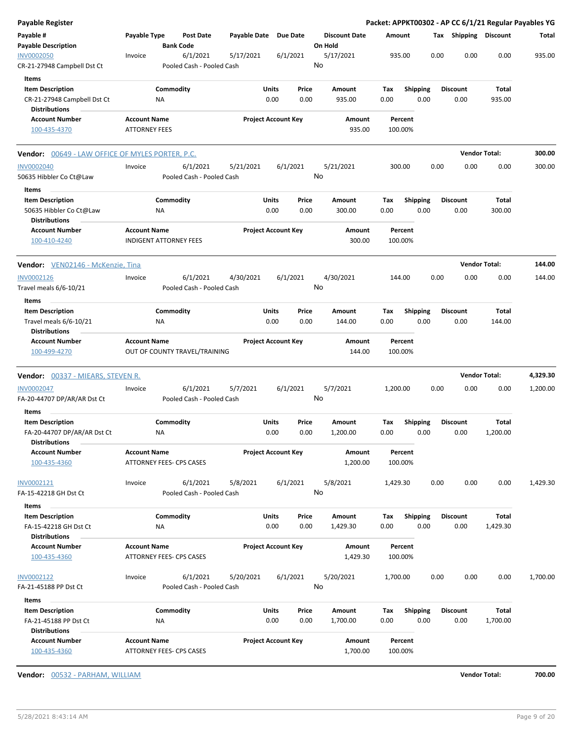| Payable Register                                                                        |                                             |                                       |              |                            |               |                                 |                    |                         |      |                         |                          | Packet: APPKT00302 - AP CC 6/1/21 Regular Payables YG |
|-----------------------------------------------------------------------------------------|---------------------------------------------|---------------------------------------|--------------|----------------------------|---------------|---------------------------------|--------------------|-------------------------|------|-------------------------|--------------------------|-------------------------------------------------------|
| Payable #<br><b>Payable Description</b>                                                 | Payable Type                                | <b>Post Date</b><br><b>Bank Code</b>  | Payable Date | <b>Due Date</b>            |               | <b>Discount Date</b><br>On Hold | Amount             |                         |      | Tax Shipping Discount   |                          | Total                                                 |
| <b>INV0002050</b><br>CR-21-27948 Campbell Dst Ct                                        | Invoice                                     | 6/1/2021<br>Pooled Cash - Pooled Cash | 5/17/2021    | 6/1/2021                   |               | 5/17/2021<br>No                 | 935.00             |                         | 0.00 | 0.00                    | 0.00                     | 935.00                                                |
| <b>Items</b><br><b>Item Description</b><br>CR-21-27948 Campbell Dst Ct                  |                                             | Commodity<br>ΝA                       |              | Units<br>0.00              | Price<br>0.00 | Amount<br>935.00                | Tax<br>0.00        | <b>Shipping</b><br>0.00 |      | <b>Discount</b><br>0.00 | Total<br>935.00          |                                                       |
| <b>Distributions</b><br><b>Account Number</b><br>100-435-4370                           | <b>Account Name</b><br><b>ATTORNEY FEES</b> |                                       |              | <b>Project Account Key</b> |               | Amount<br>935.00                | Percent<br>100.00% |                         |      |                         |                          |                                                       |
| <b>Vendor:</b> 00649 - LAW OFFICE OF MYLES PORTER, P.C.                                 |                                             |                                       |              |                            |               |                                 |                    |                         |      |                         | <b>Vendor Total:</b>     | 300.00                                                |
| <b>INV0002040</b><br>50635 Hibbler Co Ct@Law                                            | Invoice                                     | 6/1/2021<br>Pooled Cash - Pooled Cash | 5/21/2021    | 6/1/2021                   |               | 5/21/2021<br>No                 | 300.00             |                         | 0.00 | 0.00                    | 0.00                     | 300.00                                                |
| Items<br><b>Item Description</b><br>50635 Hibbler Co Ct@Law<br><b>Distributions</b>     |                                             | Commodity<br>ΝA                       |              | Units<br>0.00              | Price<br>0.00 | Amount<br>300.00                | Tax<br>0.00        | <b>Shipping</b><br>0.00 |      | <b>Discount</b><br>0.00 | Total<br>300.00          |                                                       |
| <b>Account Number</b><br>100-410-4240                                                   | <b>Account Name</b>                         | <b>INDIGENT ATTORNEY FEES</b>         |              | <b>Project Account Key</b> |               | Amount<br>300.00                | Percent<br>100.00% |                         |      |                         |                          |                                                       |
| Vendor: VEN02146 - McKenzie, Tina                                                       |                                             |                                       |              |                            |               |                                 |                    |                         |      |                         | <b>Vendor Total:</b>     | 144.00                                                |
| INV0002126<br>Travel meals 6/6-10/21                                                    | Invoice                                     | 6/1/2021<br>Pooled Cash - Pooled Cash | 4/30/2021    | 6/1/2021                   |               | 4/30/2021<br>No                 | 144.00             |                         | 0.00 | 0.00                    | 0.00                     | 144.00                                                |
| Items<br><b>Item Description</b><br>Travel meals 6/6-10/21<br><b>Distributions</b>      |                                             | Commodity<br>ΝA                       |              | <b>Units</b><br>0.00       | Price<br>0.00 | Amount<br>144.00                | Tax<br>0.00        | <b>Shipping</b><br>0.00 |      | <b>Discount</b><br>0.00 | Total<br>144.00          |                                                       |
| <b>Account Number</b><br>100-499-4270                                                   | <b>Account Name</b>                         | OUT OF COUNTY TRAVEL/TRAINING         |              | <b>Project Account Key</b> |               | Amount<br>144.00                | Percent<br>100.00% |                         |      |                         |                          |                                                       |
| <b>Vendor:</b> 00337 - MIEARS, STEVEN R.                                                |                                             |                                       |              |                            |               |                                 |                    |                         |      |                         | <b>Vendor Total:</b>     | 4,329.30                                              |
| INV0002047<br>FA-20-44707 DP/AR/AR Dst Ct                                               | Invoice                                     | 6/1/2021<br>Pooled Cash - Pooled Cash | 5/7/2021     | 6/1/2021                   |               | 5/7/2021<br>No                  | 1,200.00           |                         | 0.00 | 0.00                    | 0.00                     | 1,200.00                                              |
| Items<br><b>Item Description</b><br>FA-20-44707 DP/AR/AR Dst Ct<br><b>Distributions</b> |                                             | Commodity<br>ΝA                       |              | Units<br>0.00              | Price<br>0.00 | <b>Amount</b><br>1,200.00       | Tax<br>0.00        | <b>Shipping</b><br>0.00 |      | <b>Discount</b><br>0.00 | Total<br>1,200.00        |                                                       |
| <b>Account Number</b><br>100-435-4360                                                   | <b>Account Name</b>                         | ATTORNEY FEES- CPS CASES              |              | <b>Project Account Key</b> |               | Amount<br>1,200.00              | Percent<br>100.00% |                         |      |                         |                          |                                                       |
| INV0002121<br>FA-15-42218 GH Dst Ct                                                     | Invoice                                     | 6/1/2021<br>Pooled Cash - Pooled Cash | 5/8/2021     | 6/1/2021                   |               | 5/8/2021<br>No                  | 1,429.30           |                         | 0.00 | 0.00                    | 0.00                     | 1,429.30                                              |
| Items<br><b>Item Description</b><br>FA-15-42218 GH Dst Ct<br><b>Distributions</b>       |                                             | Commodity<br>ΝA                       |              | Units<br>0.00              | Price<br>0.00 | Amount<br>1,429.30              | Тах<br>0.00        | <b>Shipping</b><br>0.00 |      | <b>Discount</b><br>0.00 | Total<br>1,429.30        |                                                       |
| <b>Account Number</b><br>100-435-4360                                                   | <b>Account Name</b>                         | ATTORNEY FEES- CPS CASES              |              | <b>Project Account Key</b> |               | Amount<br>1,429.30              | Percent<br>100.00% |                         |      |                         |                          |                                                       |
| INV0002122<br>FA-21-45188 PP Dst Ct<br>Items                                            | Invoice                                     | 6/1/2021<br>Pooled Cash - Pooled Cash | 5/20/2021    | 6/1/2021                   |               | 5/20/2021<br>No                 | 1,700.00           |                         | 0.00 | 0.00                    | 0.00                     | 1,700.00                                              |
| <b>Item Description</b><br>FA-21-45188 PP Dst Ct<br><b>Distributions</b>                |                                             | Commodity<br>ΝA                       |              | Units<br>0.00              | Price<br>0.00 | Amount<br>1,700.00              | Tax<br>0.00        | <b>Shipping</b><br>0.00 |      | <b>Discount</b><br>0.00 | <b>Total</b><br>1,700.00 |                                                       |
| <b>Account Number</b><br>100-435-4360                                                   | <b>Account Name</b>                         | ATTORNEY FEES- CPS CASES              |              | <b>Project Account Key</b> |               | Amount<br>1,700.00              | Percent<br>100.00% |                         |      |                         |                          |                                                       |

**Vendor:** 00532 - PARHAM, WILLIAM **Vendor Total: 700.00**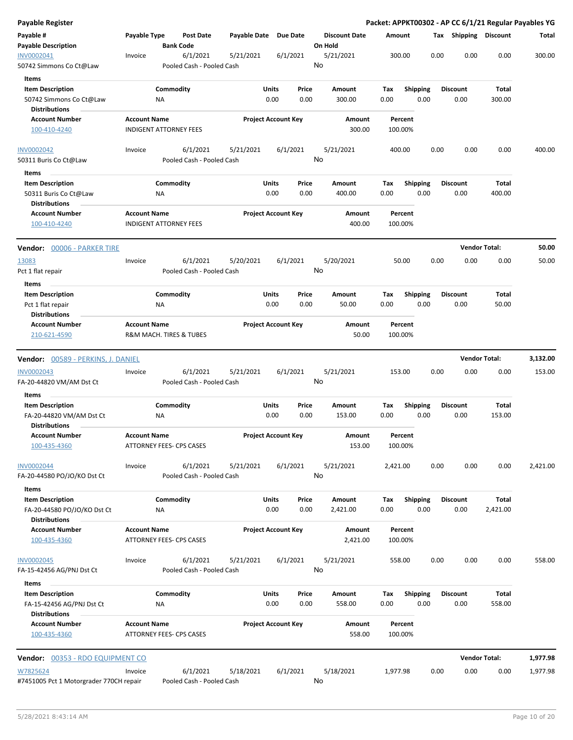| <b>Payable Register</b>                              |                                                        |                                       |                       |                            |               |                                 |             |                         |      |                         |                      | Packet: APPKT00302 - AP CC 6/1/21 Regular Payables YG |
|------------------------------------------------------|--------------------------------------------------------|---------------------------------------|-----------------------|----------------------------|---------------|---------------------------------|-------------|-------------------------|------|-------------------------|----------------------|-------------------------------------------------------|
| Payable #<br><b>Payable Description</b>              | Payable Type                                           | <b>Post Date</b><br><b>Bank Code</b>  | Payable Date Due Date |                            |               | <b>Discount Date</b><br>On Hold | Amount      |                         |      | Tax Shipping Discount   |                      | Total                                                 |
| INV0002041<br>50742 Simmons Co Ct@Law                | Invoice                                                | 6/1/2021<br>Pooled Cash - Pooled Cash | 5/21/2021             | 6/1/2021                   |               | 5/21/2021<br>No                 |             | 300.00                  | 0.00 | 0.00                    | 0.00                 | 300.00                                                |
| <b>Items</b>                                         |                                                        |                                       |                       |                            |               |                                 |             |                         |      |                         |                      |                                                       |
| <b>Item Description</b>                              | Commodity                                              |                                       |                       | Units                      | Price         | Amount                          | Tax         | <b>Shipping</b>         |      | <b>Discount</b>         | Total                |                                                       |
| 50742 Simmons Co Ct@Law                              | ΝA                                                     |                                       |                       | 0.00                       | 0.00          | 300.00                          | 0.00        | 0.00                    |      | 0.00                    | 300.00               |                                                       |
| Distributions                                        |                                                        |                                       |                       |                            |               |                                 |             |                         |      |                         |                      |                                                       |
| <b>Account Number</b>                                | <b>Account Name</b>                                    |                                       |                       | <b>Project Account Key</b> |               | <b>Amount</b>                   |             | Percent                 |      |                         |                      |                                                       |
| 100-410-4240                                         | <b>INDIGENT ATTORNEY FEES</b>                          |                                       |                       |                            |               | 300.00                          |             | 100.00%                 |      |                         |                      |                                                       |
| <b>INV0002042</b>                                    | Invoice                                                | 6/1/2021                              | 5/21/2021             | 6/1/2021                   |               | 5/21/2021                       |             | 400.00                  | 0.00 | 0.00                    | 0.00                 | 400.00                                                |
| 50311 Buris Co Ct@Law                                |                                                        | Pooled Cash - Pooled Cash             |                       |                            |               | No                              |             |                         |      |                         |                      |                                                       |
| Items                                                |                                                        |                                       |                       |                            |               |                                 |             |                         |      |                         |                      |                                                       |
| <b>Item Description</b>                              | Commodity                                              |                                       |                       | Units                      | Price         | Amount                          | Tax         | <b>Shipping</b>         |      | <b>Discount</b>         | <b>Total</b>         |                                                       |
| 50311 Buris Co Ct@Law                                | NA                                                     |                                       |                       | 0.00                       | 0.00          | 400.00                          | 0.00        | 0.00                    |      | 0.00                    | 400.00               |                                                       |
| <b>Distributions</b>                                 |                                                        |                                       |                       |                            |               |                                 |             |                         |      |                         |                      |                                                       |
| <b>Account Number</b><br>100-410-4240                | <b>Account Name</b><br><b>INDIGENT ATTORNEY FEES</b>   |                                       |                       | <b>Project Account Key</b> |               | <b>Amount</b><br>400.00         |             | Percent<br>100.00%      |      |                         |                      |                                                       |
| Vendor: 00006 - PARKER TIRE                          |                                                        |                                       |                       |                            |               |                                 |             |                         |      |                         | <b>Vendor Total:</b> | 50.00                                                 |
| 13083                                                | Invoice                                                | 6/1/2021                              | 5/20/2021             | 6/1/2021                   |               | 5/20/2021                       |             | 50.00                   | 0.00 | 0.00                    | 0.00                 | 50.00                                                 |
| Pct 1 flat repair                                    |                                                        | Pooled Cash - Pooled Cash             |                       |                            |               | No                              |             |                         |      |                         |                      |                                                       |
| Items                                                |                                                        |                                       |                       |                            |               |                                 |             |                         |      |                         |                      |                                                       |
| <b>Item Description</b>                              | Commodity                                              |                                       |                       | Units                      | Price         | Amount                          | Tax         | <b>Shipping</b>         |      | <b>Discount</b>         | Total                |                                                       |
| Pct 1 flat repair<br><b>Distributions</b>            | NA                                                     |                                       |                       | 0.00                       | 0.00          | 50.00                           | 0.00        | 0.00                    |      | 0.00                    | 50.00                |                                                       |
| <b>Account Number</b>                                | <b>Account Name</b>                                    |                                       |                       | <b>Project Account Key</b> |               | Amount                          |             | Percent                 |      |                         |                      |                                                       |
| 210-621-4590                                         | R&M MACH. TIRES & TUBES                                |                                       |                       |                            |               | 50.00                           |             | 100.00%                 |      |                         |                      |                                                       |
|                                                      |                                                        |                                       |                       |                            |               |                                 |             |                         |      |                         |                      |                                                       |
| <b>Vendor:</b> 00589 - PERKINS, J. DANIEL            |                                                        |                                       |                       |                            |               |                                 |             |                         |      |                         | <b>Vendor Total:</b> | 3,132.00                                              |
| <b>INV0002043</b>                                    | Invoice                                                | 6/1/2021                              | 5/21/2021             | 6/1/2021                   |               | 5/21/2021                       |             | 153.00                  | 0.00 | 0.00                    | 0.00                 | 153.00                                                |
| FA-20-44820 VM/AM Dst Ct                             |                                                        | Pooled Cash - Pooled Cash             |                       |                            |               | No                              |             |                         |      |                         |                      |                                                       |
| Items                                                |                                                        |                                       |                       |                            |               |                                 |             |                         |      |                         |                      |                                                       |
| <b>Item Description</b>                              | Commodity                                              |                                       |                       | Units                      | Price         | Amount                          | Тах         | <b>Shipping</b>         |      | <b>Discount</b>         | Total                |                                                       |
| FA-20-44820 VM/AM Dst Ct                             | ΝA                                                     |                                       |                       | 0.00                       | 0.00          | 153.00                          | 0.00        | 0.00                    |      | 0.00                    | 153.00               |                                                       |
| <b>Distributions</b>                                 |                                                        |                                       |                       |                            |               |                                 |             |                         |      |                         |                      |                                                       |
| <b>Account Number</b><br>100-435-4360                | <b>Account Name</b><br><b>ATTORNEY FEES- CPS CASES</b> |                                       |                       | <b>Project Account Kev</b> |               | Amount<br>153.00                |             | Percent<br>100.00%      |      |                         |                      |                                                       |
| <b>INV0002044</b>                                    | Invoice                                                | 6/1/2021                              | 5/21/2021             | 6/1/2021                   |               | 5/21/2021                       | 2,421.00    |                         | 0.00 | 0.00                    | 0.00                 | 2,421.00                                              |
| FA-20-44580 PO/JO/KO Dst Ct                          |                                                        | Pooled Cash - Pooled Cash             |                       |                            |               | No                              |             |                         |      |                         |                      |                                                       |
| Items                                                |                                                        |                                       |                       |                            |               |                                 |             |                         |      |                         |                      |                                                       |
| <b>Item Description</b>                              | Commodity                                              |                                       |                       | Units                      | Price         | Amount                          | Tax         | <b>Shipping</b>         |      | <b>Discount</b>         | <b>Total</b>         |                                                       |
| FA-20-44580 PO/JO/KO Dst Ct<br><b>Distributions</b>  | NA                                                     |                                       |                       | 0.00                       | 0.00          | 2,421.00                        | 0.00        | 0.00                    |      | 0.00                    | 2,421.00             |                                                       |
| <b>Account Number</b>                                | <b>Account Name</b>                                    |                                       |                       | <b>Project Account Key</b> |               | Amount                          |             | Percent                 |      |                         |                      |                                                       |
| 100-435-4360                                         | ATTORNEY FEES- CPS CASES                               |                                       |                       |                            |               | 2,421.00                        |             | 100.00%                 |      |                         |                      |                                                       |
| INV0002045                                           | Invoice                                                | 6/1/2021                              | 5/21/2021             | 6/1/2021                   |               | 5/21/2021                       |             | 558.00                  | 0.00 | 0.00                    | 0.00                 | 558.00                                                |
| FA-15-42456 AG/PNJ Dst Ct                            |                                                        | Pooled Cash - Pooled Cash             |                       |                            |               | No                              |             |                         |      |                         |                      |                                                       |
| Items                                                |                                                        |                                       |                       |                            |               |                                 |             |                         |      |                         |                      |                                                       |
| <b>Item Description</b><br>FA-15-42456 AG/PNJ Dst Ct | Commodity<br>ΝA                                        |                                       |                       | Units<br>0.00              | Price<br>0.00 | Amount<br>558.00                | Tax<br>0.00 | <b>Shipping</b><br>0.00 |      | <b>Discount</b><br>0.00 | Total<br>558.00      |                                                       |
| <b>Distributions</b>                                 |                                                        |                                       |                       |                            |               |                                 |             |                         |      |                         |                      |                                                       |
| <b>Account Number</b><br>100-435-4360                | <b>Account Name</b><br>ATTORNEY FEES- CPS CASES        |                                       |                       | <b>Project Account Key</b> |               | Amount<br>558.00                |             | Percent<br>100.00%      |      |                         |                      |                                                       |
| Vendor: 00353 - RDO EQUIPMENT CO                     |                                                        |                                       |                       |                            |               |                                 |             |                         |      |                         | <b>Vendor Total:</b> | 1,977.98                                              |
|                                                      |                                                        | 6/1/2021                              |                       |                            |               |                                 |             |                         |      |                         |                      |                                                       |
| W7825624<br>#7451005 Pct 1 Motorgrader 770CH repair  | Invoice                                                | Pooled Cash - Pooled Cash             | 5/18/2021             | 6/1/2021                   |               | 5/18/2021<br>No                 | 1,977.98    |                         | 0.00 | 0.00                    | 0.00                 | 1,977.98                                              |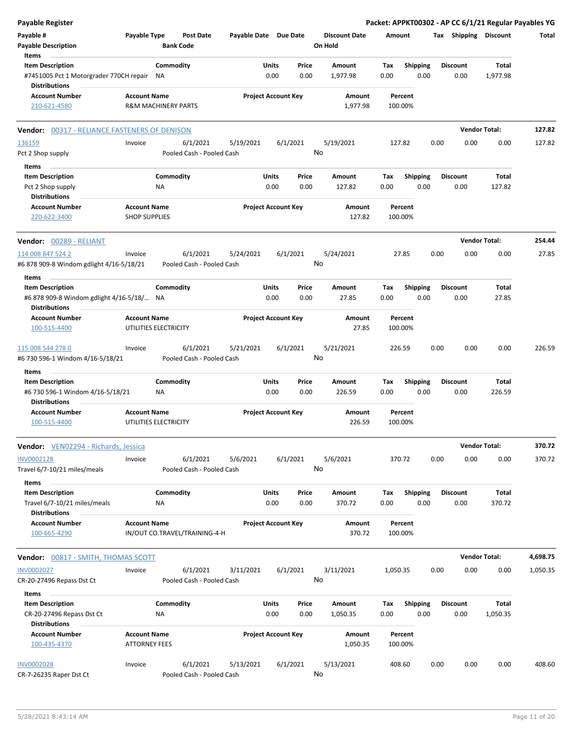| <b>Payable Register</b>                                                                    |                                              |                                       |                       |                            |               |                                 |             |                         |      |                         | Packet: APPKT00302 - AP CC 6/1/21 Regular Payables YG |          |
|--------------------------------------------------------------------------------------------|----------------------------------------------|---------------------------------------|-----------------------|----------------------------|---------------|---------------------------------|-------------|-------------------------|------|-------------------------|-------------------------------------------------------|----------|
| Payable #<br><b>Payable Description</b>                                                    | Payable Type                                 | <b>Post Date</b><br><b>Bank Code</b>  | Payable Date Due Date |                            |               | <b>Discount Date</b><br>On Hold | Amount      |                         |      | Tax Shipping Discount   |                                                       | Total    |
| Items                                                                                      |                                              |                                       |                       |                            |               |                                 |             |                         |      |                         |                                                       |          |
| <b>Item Description</b><br>#7451005 Pct 1 Motorgrader 770CH repair<br><b>Distributions</b> |                                              | Commodity<br>ΝA                       |                       | Units<br>0.00              | Price<br>0.00 | Amount<br>1,977.98              | Tax<br>0.00 | <b>Shipping</b><br>0.00 |      | <b>Discount</b><br>0.00 | Total<br>1,977.98                                     |          |
| <b>Account Number</b>                                                                      | <b>Account Name</b>                          |                                       |                       | <b>Project Account Key</b> |               | Amount                          |             | Percent                 |      |                         |                                                       |          |
| 210-621-4580                                                                               |                                              | <b>R&amp;M MACHINERY PARTS</b>        |                       |                            |               | 1,977.98                        | 100.00%     |                         |      |                         |                                                       |          |
| 00317 - RELIANCE FASTENERS OF DENISON<br>Vendor:                                           |                                              |                                       |                       |                            |               |                                 |             |                         |      | <b>Vendor Total:</b>    |                                                       | 127.82   |
| 136159                                                                                     | Invoice                                      | 6/1/2021                              | 5/19/2021             | 6/1/2021                   |               | 5/19/2021                       | 127.82      |                         | 0.00 | 0.00                    | 0.00                                                  | 127.82   |
| Pct 2 Shop supply                                                                          |                                              | Pooled Cash - Pooled Cash             |                       |                            | No            |                                 |             |                         |      |                         |                                                       |          |
| Items                                                                                      |                                              |                                       |                       |                            |               |                                 |             |                         |      |                         |                                                       |          |
| <b>Item Description</b>                                                                    |                                              | Commodity<br><b>NA</b>                |                       | Units<br>0.00              | Price<br>0.00 | Amount<br>127.82                | Tax<br>0.00 | <b>Shipping</b><br>0.00 |      | <b>Discount</b><br>0.00 | <b>Total</b><br>127.82                                |          |
| Pct 2 Shop supply<br><b>Distributions</b>                                                  |                                              |                                       |                       |                            |               |                                 |             |                         |      |                         |                                                       |          |
| <b>Account Number</b>                                                                      | <b>Account Name</b>                          |                                       |                       | <b>Project Account Key</b> |               | Amount                          |             | Percent                 |      |                         |                                                       |          |
| 220-622-3400                                                                               | <b>SHOP SUPPLIES</b>                         |                                       |                       |                            |               | 127.82                          | 100.00%     |                         |      |                         |                                                       |          |
| <b>Vendor: 00289 - RELIANT</b>                                                             |                                              |                                       |                       |                            |               |                                 |             |                         |      | <b>Vendor Total:</b>    |                                                       | 254.44   |
| 114 008 847 524 2                                                                          | Invoice                                      | 6/1/2021                              | 5/24/2021             | 6/1/2021                   |               | 5/24/2021                       |             | 27.85                   | 0.00 | 0.00                    | 0.00                                                  | 27.85    |
| #6 878 909-8 Windom gdlight 4/16-5/18/21                                                   |                                              | Pooled Cash - Pooled Cash             |                       |                            | No            |                                 |             |                         |      |                         |                                                       |          |
| Items                                                                                      |                                              |                                       |                       |                            |               |                                 |             |                         |      |                         |                                                       |          |
| <b>Item Description</b><br>#6 878 909-8 Windom gdlight 4/16-5/18/ NA                       |                                              | Commodity                             |                       | Units<br>0.00              | Price<br>0.00 | Amount<br>27.85                 | Tax<br>0.00 | Shipping<br>0.00        |      | <b>Discount</b><br>0.00 | Total<br>27.85                                        |          |
| <b>Distributions</b><br><b>Account Number</b>                                              | <b>Account Name</b>                          |                                       |                       | <b>Project Account Key</b> |               | Amount                          |             | Percent                 |      |                         |                                                       |          |
| 100-515-4400                                                                               | UTILITIES ELECTRICITY                        |                                       |                       |                            |               | 27.85                           | 100.00%     |                         |      |                         |                                                       |          |
| 115 008 544 278 0<br>#6 730 596-1 Windom 4/16-5/18/21                                      | Invoice                                      | 6/1/2021<br>Pooled Cash - Pooled Cash | 5/21/2021             | 6/1/2021                   | No            | 5/21/2021                       | 226.59      |                         | 0.00 | 0.00                    | 0.00                                                  | 226.59   |
| Items                                                                                      |                                              |                                       |                       |                            |               |                                 |             |                         |      |                         |                                                       |          |
| <b>Item Description</b><br>#6 730 596-1 Windom 4/16-5/18/21<br><b>Distributions</b>        |                                              | Commodity<br><b>NA</b>                |                       | <b>Units</b><br>0.00       | Price<br>0.00 | Amount<br>226.59                | Tax<br>0.00 | <b>Shipping</b><br>0.00 |      | <b>Discount</b><br>0.00 | Total<br>226.59                                       |          |
| <b>Account Number</b><br>100-515-4400                                                      | <b>Account Name</b><br>UTILITIES ELECTRICITY |                                       |                       | <b>Project Account Key</b> |               | Amount<br>226.59                | 100.00%     | Percent                 |      |                         |                                                       |          |
|                                                                                            |                                              |                                       |                       |                            |               |                                 |             |                         |      |                         |                                                       |          |
| <b>Vendor:</b> VEN02294 - Richards, Jessica                                                |                                              |                                       |                       |                            |               |                                 |             |                         |      | <b>Vendor Total:</b>    |                                                       | 370.72   |
| <b>INV0002128</b><br>Travel 6/7-10/21 miles/meals                                          | Invoice                                      | 6/1/2021<br>Pooled Cash - Pooled Cash | 5/6/2021              | 6/1/2021                   | No            | 5/6/2021                        | 370.72      |                         | 0.00 | 0.00                    | 0.00                                                  | 370.72   |
| Items                                                                                      |                                              |                                       |                       |                            |               |                                 |             |                         |      |                         |                                                       |          |
| <b>Item Description</b><br>Travel 6/7-10/21 miles/meals<br><b>Distributions</b>            |                                              | Commodity<br><b>NA</b>                |                       | Units<br>0.00              | Price<br>0.00 | Amount<br>370.72                | Tax<br>0.00 | <b>Shipping</b><br>0.00 |      | <b>Discount</b><br>0.00 | Total<br>370.72                                       |          |
| <b>Account Number</b><br>100-665-4290                                                      | <b>Account Name</b>                          | IN/OUT CO.TRAVEL/TRAINING-4-H         |                       | <b>Project Account Key</b> |               | Amount<br>370.72                | 100.00%     | Percent                 |      |                         |                                                       |          |
| Vendor: 00817 - SMITH, THOMAS SCOTT                                                        |                                              |                                       |                       |                            |               |                                 |             |                         |      | <b>Vendor Total:</b>    |                                                       | 4,698.75 |
| <b>INV0002027</b>                                                                          | Invoice                                      | 6/1/2021                              | 3/11/2021             | 6/1/2021                   |               | 3/11/2021                       | 1,050.35    |                         | 0.00 | 0.00                    | 0.00                                                  | 1,050.35 |
| CR-20-27496 Repass Dst Ct                                                                  |                                              | Pooled Cash - Pooled Cash             |                       |                            |               | No                              |             |                         |      |                         |                                                       |          |
| Items                                                                                      |                                              |                                       |                       |                            |               |                                 |             |                         |      |                         |                                                       |          |
| <b>Item Description</b>                                                                    |                                              | Commodity                             |                       | Units                      | Price         | Amount                          | Tax         | <b>Shipping</b>         |      | <b>Discount</b>         | Total                                                 |          |
| CR-20-27496 Repass Dst Ct<br><b>Distributions</b>                                          |                                              | <b>NA</b>                             |                       | 0.00                       | 0.00          | 1,050.35                        | 0.00        | 0.00                    |      | 0.00                    | 1,050.35                                              |          |
| <b>Account Number</b><br>100-435-4370                                                      | <b>Account Name</b><br><b>ATTORNEY FEES</b>  |                                       |                       | <b>Project Account Key</b> |               | Amount<br>1,050.35              | 100.00%     | Percent                 |      |                         |                                                       |          |
| <b>INV0002028</b><br>CR-7-26235 Raper Dst Ct                                               | Invoice                                      | 6/1/2021<br>Pooled Cash - Pooled Cash | 5/13/2021             | 6/1/2021                   | No            | 5/13/2021                       | 408.60      |                         | 0.00 | 0.00                    | 0.00                                                  | 408.60   |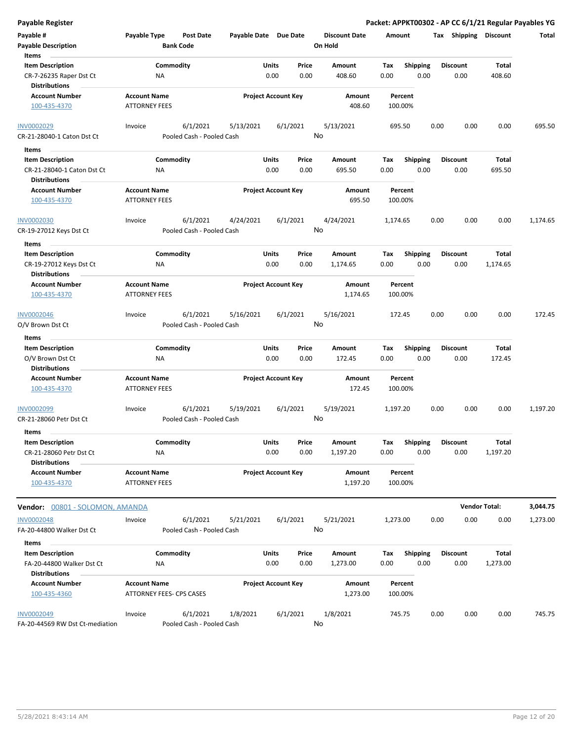| Payable Register                                                                      |                                             |                                       |                       |                            |               |                                 |                    |                         |      |                         | Packet: APPKT00302 - AP CC 6/1/21 Regular Payables YG |          |
|---------------------------------------------------------------------------------------|---------------------------------------------|---------------------------------------|-----------------------|----------------------------|---------------|---------------------------------|--------------------|-------------------------|------|-------------------------|-------------------------------------------------------|----------|
| Payable #<br><b>Payable Description</b>                                               | Payable Type                                | Post Date<br><b>Bank Code</b>         | Payable Date Due Date |                            |               | <b>Discount Date</b><br>On Hold | Amount             |                         |      |                         | Tax Shipping Discount                                 | Total    |
| Items<br><b>Item Description</b><br>CR-7-26235 Raper Dst Ct                           | ΝA                                          | Commodity                             |                       | Units<br>0.00              | Price<br>0.00 | Amount<br>408.60                | Tax<br>0.00        | <b>Shipping</b><br>0.00 |      | <b>Discount</b><br>0.00 | Total<br>408.60                                       |          |
| <b>Distributions</b><br><b>Account Number</b><br>100-435-4370                         | <b>Account Name</b><br><b>ATTORNEY FEES</b> |                                       |                       | <b>Project Account Key</b> |               | Amount<br>408.60                | Percent<br>100.00% |                         |      |                         |                                                       |          |
| <b>INV0002029</b><br>CR-21-28040-1 Caton Dst Ct                                       | Invoice                                     | 6/1/2021<br>Pooled Cash - Pooled Cash | 5/13/2021             | 6/1/2021                   |               | 5/13/2021<br>No                 | 695.50             |                         | 0.00 | 0.00                    | 0.00                                                  | 695.50   |
| Items<br><b>Item Description</b><br>CR-21-28040-1 Caton Dst Ct                        | ΝA                                          | Commodity                             |                       | Units<br>0.00              | Price<br>0.00 | Amount<br>695.50                | Tax<br>0.00        | <b>Shipping</b><br>0.00 |      | <b>Discount</b><br>0.00 | Total<br>695.50                                       |          |
| <b>Distributions</b><br><b>Account Number</b><br>100-435-4370                         | <b>Account Name</b><br><b>ATTORNEY FEES</b> |                                       |                       | <b>Project Account Key</b> |               | Amount<br>695.50                | Percent<br>100.00% |                         |      |                         |                                                       |          |
| <b>INV0002030</b><br>CR-19-27012 Keys Dst Ct                                          | Invoice                                     | 6/1/2021<br>Pooled Cash - Pooled Cash | 4/24/2021             | 6/1/2021                   |               | 4/24/2021<br>No                 | 1,174.65           |                         | 0.00 | 0.00                    | 0.00                                                  | 1,174.65 |
| Items<br><b>Item Description</b><br>CR-19-27012 Keys Dst Ct<br><b>Distributions</b>   | ΝA                                          | Commodity                             |                       | Units<br>0.00              | Price<br>0.00 | <b>Amount</b><br>1,174.65       | Tax<br>0.00        | <b>Shipping</b><br>0.00 |      | <b>Discount</b><br>0.00 | Total<br>1,174.65                                     |          |
| <b>Account Number</b><br>100-435-4370                                                 | <b>Account Name</b><br><b>ATTORNEY FEES</b> |                                       |                       | <b>Project Account Key</b> |               | Amount<br>1,174.65              | Percent<br>100.00% |                         |      |                         |                                                       |          |
| <b>INV0002046</b><br>O/V Brown Dst Ct                                                 | Invoice                                     | 6/1/2021<br>Pooled Cash - Pooled Cash | 5/16/2021             | 6/1/2021                   |               | 5/16/2021<br>No                 | 172.45             |                         | 0.00 | 0.00                    | 0.00                                                  | 172.45   |
| Items<br><b>Item Description</b><br>O/V Brown Dst Ct<br><b>Distributions</b>          | <b>NA</b>                                   | Commodity                             |                       | Units<br>0.00              | Price<br>0.00 | Amount<br>172.45                | Tax<br>0.00        | <b>Shipping</b><br>0.00 |      | <b>Discount</b><br>0.00 | Total<br>172.45                                       |          |
| <b>Account Number</b><br>100-435-4370                                                 | <b>Account Name</b><br><b>ATTORNEY FEES</b> |                                       |                       | <b>Project Account Key</b> |               | Amount<br>172.45                | Percent<br>100.00% |                         |      |                         |                                                       |          |
| INV0002099<br>CR-21-28060 Petr Dst Ct                                                 | Invoice                                     | 6/1/2021<br>Pooled Cash - Pooled Cash | 5/19/2021             | 6/1/2021                   |               | 5/19/2021<br>No                 | 1,197.20           |                         | 0.00 | 0.00                    | 0.00                                                  | 1,197.20 |
| Items<br><b>Item Description</b><br>CR-21-28060 Petr Dst Ct                           | <b>NA</b>                                   | Commodity                             |                       | Units<br>0.00              | Price<br>0.00 | Amount<br>1,197.20              | Tax<br>0.00        | Shipping<br>0.00        |      | <b>Discount</b><br>0.00 | Total<br>1,197.20                                     |          |
| <b>Distributions</b><br><b>Account Number</b><br>100-435-4370                         | <b>Account Name</b><br><b>ATTORNEY FEES</b> |                                       |                       | <b>Project Account Key</b> |               | Amount<br>1,197.20              | Percent<br>100.00% |                         |      |                         |                                                       |          |
| Vendor: 00801 - SOLOMON, AMANDA                                                       |                                             |                                       |                       |                            |               |                                 |                    |                         |      |                         | <b>Vendor Total:</b>                                  | 3,044.75 |
| <b>INV0002048</b><br>FA-20-44800 Walker Dst Ct                                        | Invoice                                     | 6/1/2021<br>Pooled Cash - Pooled Cash | 5/21/2021             | 6/1/2021                   |               | 5/21/2021<br>No                 | 1,273.00           |                         | 0.00 | 0.00                    | 0.00                                                  | 1,273.00 |
| Items<br><b>Item Description</b><br>FA-20-44800 Walker Dst Ct<br><b>Distributions</b> | ΝA                                          | Commodity                             |                       | Units<br>0.00              | Price<br>0.00 | Amount<br>1,273.00              | Tax<br>0.00        | <b>Shipping</b><br>0.00 |      | <b>Discount</b><br>0.00 | Total<br>1,273.00                                     |          |
| <b>Account Number</b><br>100-435-4360                                                 | <b>Account Name</b>                         | ATTORNEY FEES- CPS CASES              |                       | <b>Project Account Key</b> |               | Amount<br>1,273.00              | Percent<br>100.00% |                         |      |                         |                                                       |          |
| <b>INV0002049</b><br>FA-20-44569 RW Dst Ct-mediation                                  | Invoice                                     | 6/1/2021<br>Pooled Cash - Pooled Cash | 1/8/2021              | 6/1/2021                   |               | 1/8/2021<br>No                  | 745.75             |                         | 0.00 | 0.00                    | 0.00                                                  | 745.75   |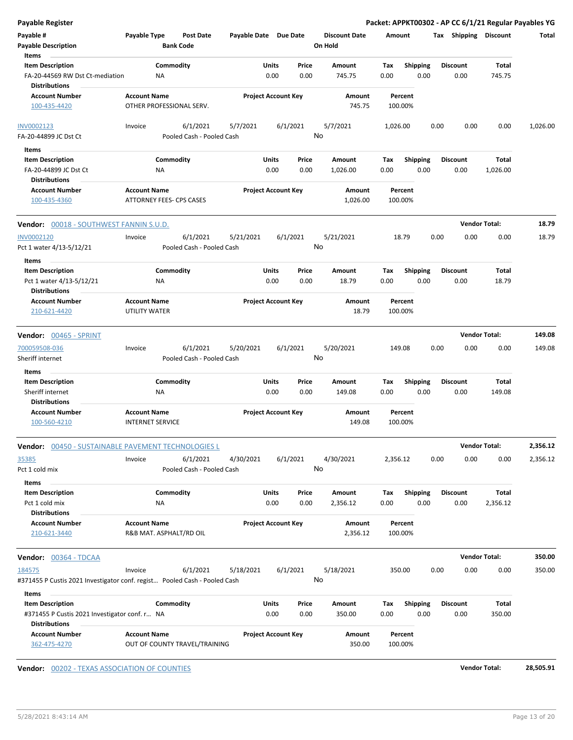| <b>Payable Register</b>                                               |                                                                           |                            |               |                                 | Packet: APPKT00302 - AP CC 6/1/21 Regular Payables YG |      |                         |                      |          |
|-----------------------------------------------------------------------|---------------------------------------------------------------------------|----------------------------|---------------|---------------------------------|-------------------------------------------------------|------|-------------------------|----------------------|----------|
| Payable #<br><b>Payable Description</b>                               | Payable Type<br><b>Post Date</b><br><b>Bank Code</b>                      | Payable Date Due Date      |               | <b>Discount Date</b><br>On Hold | Amount                                                |      | Tax Shipping Discount   |                      | Total    |
| Items                                                                 |                                                                           |                            |               |                                 |                                                       |      |                         |                      |          |
| <b>Item Description</b><br>FA-20-44569 RW Dst Ct-mediation            | Commodity<br><b>NA</b>                                                    | Units<br>0.00              | Price<br>0.00 | <b>Amount</b><br>745.75         | <b>Shipping</b><br>Tax<br>0.00<br>0.00                |      | <b>Discount</b><br>0.00 | Total<br>745.75      |          |
| <b>Distributions</b>                                                  |                                                                           |                            |               |                                 |                                                       |      |                         |                      |          |
| <b>Account Number</b><br>100-435-4420                                 | <b>Account Name</b><br>OTHER PROFESSIONAL SERV.                           | <b>Project Account Key</b> |               | Amount<br>745.75                | Percent<br>100.00%                                    |      |                         |                      |          |
| INV0002123                                                            | 6/1/2021<br>Invoice                                                       | 5/7/2021<br>6/1/2021       |               | 5/7/2021                        | 1,026.00                                              | 0.00 | 0.00                    | 0.00                 | 1,026.00 |
| FA-20-44899 JC Dst Ct<br>Items                                        | Pooled Cash - Pooled Cash                                                 |                            | No            |                                 |                                                       |      |                         |                      |          |
| <b>Item Description</b>                                               | Commodity                                                                 | Units                      | Price         | Amount                          | <b>Shipping</b><br>Tax                                |      | <b>Discount</b>         | Total                |          |
| FA-20-44899 JC Dst Ct<br><b>Distributions</b>                         | ΝA                                                                        | 0.00                       | 0.00          | 1,026.00                        | 0.00<br>0.00                                          |      | 0.00                    | 1,026.00             |          |
| <b>Account Number</b><br>100-435-4360                                 | <b>Account Name</b><br><b>ATTORNEY FEES- CPS CASES</b>                    | <b>Project Account Key</b> |               | Amount<br>1,026.00              | Percent<br>100.00%                                    |      |                         |                      |          |
| <b>Vendor: 00018 - SOUTHWEST FANNIN S.U.D.</b>                        |                                                                           |                            |               |                                 |                                                       |      |                         | <b>Vendor Total:</b> | 18.79    |
| <b>INV0002120</b>                                                     | 6/1/2021<br>Invoice                                                       | 5/21/2021<br>6/1/2021      |               | 5/21/2021                       | 18.79                                                 | 0.00 | 0.00                    | 0.00                 | 18.79    |
| Pct 1 water 4/13-5/12/21                                              | Pooled Cash - Pooled Cash                                                 |                            |               | No                              |                                                       |      |                         |                      |          |
| Items                                                                 |                                                                           |                            |               |                                 |                                                       |      |                         |                      |          |
| <b>Item Description</b><br>Pct 1 water 4/13-5/12/21                   | Commodity<br>NA                                                           | Units<br>0.00              | Price<br>0.00 | Amount<br>18.79                 | <b>Shipping</b><br>Tax<br>0.00<br>0.00                |      | <b>Discount</b><br>0.00 | Total<br>18.79       |          |
| <b>Distributions</b><br><b>Account Number</b><br>210-621-4420         | <b>Account Name</b><br>UTILITY WATER                                      | <b>Project Account Key</b> |               | Amount<br>18.79                 | Percent<br>100.00%                                    |      |                         |                      |          |
| Vendor: 00465 - SPRINT                                                |                                                                           |                            |               |                                 |                                                       |      |                         | <b>Vendor Total:</b> | 149.08   |
| 700059508-036<br>Sheriff internet                                     | 6/1/2021<br>Invoice<br>Pooled Cash - Pooled Cash                          | 5/20/2021<br>6/1/2021      |               | 5/20/2021<br>No                 | 149.08                                                | 0.00 | 0.00                    | 0.00                 | 149.08   |
| Items                                                                 |                                                                           |                            |               |                                 |                                                       |      |                         |                      |          |
| <b>Item Description</b><br>Sheriff internet                           | Commodity<br><b>NA</b>                                                    | Units<br>0.00              | Price<br>0.00 | Amount<br>149.08                | <b>Shipping</b><br>Tax<br>0.00<br>0.00                |      | <b>Discount</b><br>0.00 | Total<br>149.08      |          |
| <b>Distributions</b>                                                  |                                                                           |                            |               |                                 |                                                       |      |                         |                      |          |
| <b>Account Number</b><br>100-560-4210                                 | <b>Account Name</b><br><b>INTERNET SERVICE</b>                            | <b>Project Account Key</b> |               | Amount<br>149.08                | Percent<br>100.00%                                    |      |                         |                      |          |
|                                                                       | Vendor: 00450 - SUSTAINABLE PAVEMENT TECHNOLOGIES L                       |                            |               |                                 |                                                       |      |                         | <b>Vendor Total:</b> | 2,356.12 |
| 35385<br>Pct 1 cold mix                                               | 6/1/2021<br>Invoice<br>Pooled Cash - Pooled Cash                          | 4/30/2021<br>6/1/2021      |               | 4/30/2021<br>No                 | 2,356.12                                              | 0.00 | 0.00                    | 0.00                 | 2,356.12 |
| Items                                                                 |                                                                           |                            |               |                                 |                                                       |      |                         |                      |          |
| <b>Item Description</b><br>Pct 1 cold mix<br><b>Distributions</b>     | Commodity<br>ΝA                                                           | Units<br>0.00              | Price<br>0.00 | Amount<br>2,356.12              | <b>Shipping</b><br>Тах<br>0.00<br>0.00                |      | <b>Discount</b><br>0.00 | Total<br>2,356.12    |          |
| <b>Account Number</b>                                                 | <b>Account Name</b>                                                       |                            |               |                                 |                                                       |      |                         |                      |          |
| 210-621-3440                                                          | R&B MAT. ASPHALT/RD OIL                                                   | <b>Project Account Key</b> |               | Amount<br>2,356.12              | Percent<br>100.00%                                    |      |                         |                      |          |
| Vendor: 00364 - TDCAA                                                 |                                                                           |                            |               |                                 |                                                       |      |                         | <b>Vendor Total:</b> | 350.00   |
| 184575                                                                | 6/1/2021<br>Invoice                                                       | 5/18/2021<br>6/1/2021      |               | 5/18/2021                       | 350.00                                                | 0.00 | 0.00                    | 0.00                 | 350.00   |
| Items                                                                 | #371455 P Custis 2021 Investigator conf. regist Pooled Cash - Pooled Cash |                            |               | No                              |                                                       |      |                         |                      |          |
| <b>Item Description</b>                                               | Commodity                                                                 | Units                      | Price         | Amount                          | <b>Shipping</b><br>Тах                                |      | <b>Discount</b>         | Total                |          |
| #371455 P Custis 2021 Investigator conf. r NA<br><b>Distributions</b> |                                                                           | 0.00                       | 0.00          | 350.00                          | 0.00<br>0.00                                          |      | 0.00                    | 350.00               |          |
| <b>Account Number</b><br>362-475-4270                                 | <b>Account Name</b><br>OUT OF COUNTY TRAVEL/TRAINING                      | <b>Project Account Key</b> |               | Amount<br>350.00                | Percent<br>100.00%                                    |      |                         |                      |          |

**Vendor:**  $\underline{00202}$  - TEXAS ASSOCIATION OF COUNTIES **Vendor Total: 28,505.91**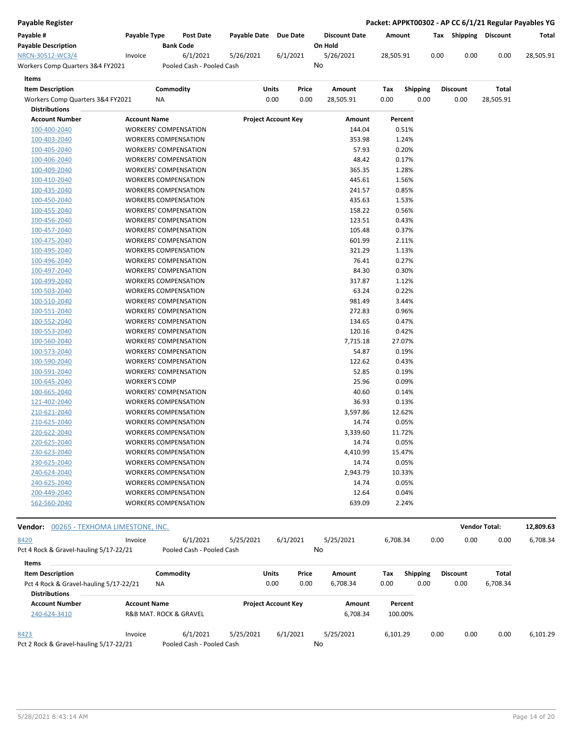|  |  | Payable Register |
|--|--|------------------|
|  |  |                  |

**Payable Register Packet: APPKT00302 - AP CC 6/1/21 Regular Payables YG**

| Payable #                        | <b>Pavable Type</b> | <b>Post Date</b>          | <b>Pavable Date</b> | Due Date | <b>Discount Date</b> | Amount    | Tax  | <b>Shipping</b> | Discount | Total     |
|----------------------------------|---------------------|---------------------------|---------------------|----------|----------------------|-----------|------|-----------------|----------|-----------|
| <b>Payable Description</b>       |                     | <b>Bank Code</b>          |                     |          | On Hold              |           |      |                 |          |           |
| NRCN-30512-WC3/4                 | Invoice             | 6/1/2021                  | 5/26/2021           | 6/1/2021 | 5/26/2021            | 28.505.91 | 0.00 | 0.00            | 0.00     | 28.505.91 |
| Workers Comp Quarters 3&4 FY2021 |                     | Pooled Cash - Pooled Cash |                     |          | No                   |           |      |                 |          |           |
|                                  |                     |                           |                     |          |                      |           |      |                 |          |           |

| Items                            |                              |                            |       |           |      |                 |                 |              |
|----------------------------------|------------------------------|----------------------------|-------|-----------|------|-----------------|-----------------|--------------|
| <b>Item Description</b>          | Commodity                    | Units                      | Price | Amount    | Tax  | <b>Shipping</b> | <b>Discount</b> | <b>Total</b> |
| Workers Comp Quarters 3&4 FY2021 | ΝA                           | 0.00                       | 0.00  | 28,505.91 | 0.00 | 0.00            | 0.00            | 28,505.91    |
| <b>Distributions</b>             |                              |                            |       |           |      |                 |                 |              |
| <b>Account Number</b>            | <b>Account Name</b>          | <b>Project Account Key</b> |       | Amount    |      | Percent         |                 |              |
| 100-400-2040                     | <b>WORKERS' COMPENSATION</b> |                            |       | 144.04    |      | 0.51%           |                 |              |
| 100-403-2040                     | <b>WORKERS COMPENSATION</b>  |                            |       | 353.98    |      | 1.24%           |                 |              |
| 100-405-2040                     | <b>WORKERS' COMPENSATION</b> |                            |       | 57.93     |      | 0.20%           |                 |              |
| 100-406-2040                     | <b>WORKERS' COMPENSATION</b> |                            |       | 48.42     |      | 0.17%           |                 |              |
| 100-409-2040                     | <b>WORKERS' COMPENSATION</b> |                            |       | 365.35    |      | 1.28%           |                 |              |
| 100-410-2040                     | <b>WORKERS COMPENSATION</b>  |                            |       | 445.61    |      | 1.56%           |                 |              |
| 100-435-2040                     | <b>WORKERS COMPENSATION</b>  |                            |       | 241.57    |      | 0.85%           |                 |              |
| 100-450-2040                     | <b>WORKERS COMPENSATION</b>  |                            |       | 435.63    |      | 1.53%           |                 |              |
| 100-455-2040                     | <b>WORKERS' COMPENSATION</b> |                            |       | 158.22    |      | 0.56%           |                 |              |
| 100-456-2040                     | <b>WORKERS' COMPENSATION</b> |                            |       | 123.51    |      | 0.43%           |                 |              |
| 100-457-2040                     | <b>WORKERS' COMPENSATION</b> |                            |       | 105.48    |      | 0.37%           |                 |              |
| 100-475-2040                     | <b>WORKERS' COMPENSATION</b> |                            |       | 601.99    |      | 2.11%           |                 |              |
| 100-495-2040                     | <b>WORKERS COMPENSATION</b>  |                            |       | 321.29    |      | 1.13%           |                 |              |
| 100-496-2040                     | <b>WORKERS' COMPENSATION</b> |                            |       | 76.41     |      | 0.27%           |                 |              |
| 100-497-2040                     | <b>WORKERS' COMPENSATION</b> |                            |       | 84.30     |      | 0.30%           |                 |              |
| 100-499-2040                     | <b>WORKERS COMPENSATION</b>  |                            |       | 317.87    |      | 1.12%           |                 |              |
| 100-503-2040                     | <b>WORKERS COMPENSATION</b>  |                            |       | 63.24     |      | 0.22%           |                 |              |
| 100-510-2040                     | <b>WORKERS' COMPENSATION</b> |                            |       | 981.49    |      | 3.44%           |                 |              |
| 100-551-2040                     | <b>WORKERS' COMPENSATION</b> |                            |       | 272.83    |      | 0.96%           |                 |              |
| 100-552-2040                     | <b>WORKERS' COMPENSATION</b> |                            |       | 134.65    |      | 0.47%           |                 |              |
| 100-553-2040                     | <b>WORKERS' COMPENSATION</b> |                            |       | 120.16    |      | 0.42%           |                 |              |
| 100-560-2040                     | <b>WORKERS' COMPENSATION</b> |                            |       | 7,715.18  |      | 27.07%          |                 |              |
| 100-573-2040                     | <b>WORKERS' COMPENSATION</b> |                            |       | 54.87     |      | 0.19%           |                 |              |
| 100-590-2040                     | <b>WORKERS' COMPENSATION</b> |                            |       | 122.62    |      | 0.43%           |                 |              |
| 100-591-2040                     | <b>WORKERS' COMPENSATION</b> |                            |       | 52.85     |      | 0.19%           |                 |              |
| 100-645-2040                     | <b>WORKER'S COMP</b>         |                            |       | 25.96     |      | 0.09%           |                 |              |
| 100-665-2040                     | <b>WORKERS' COMPENSATION</b> |                            |       | 40.60     |      | 0.14%           |                 |              |
| 121-402-2040                     | <b>WORKERS COMPENSATION</b>  |                            |       | 36.93     |      | 0.13%           |                 |              |
| 210-621-2040                     | <b>WORKERS COMPENSATION</b>  |                            |       | 3,597.86  |      | 12.62%          |                 |              |
| 210-625-2040                     | <b>WORKERS COMPENSATION</b>  |                            |       | 14.74     |      | 0.05%           |                 |              |
| 220-622-2040                     | <b>WORKERS COMPENSATION</b>  |                            |       | 3,339.60  |      | 11.72%          |                 |              |
| 220-625-2040                     | <b>WORKERS COMPENSATION</b>  |                            |       | 14.74     |      | 0.05%           |                 |              |
| 230-623-2040                     | <b>WORKERS COMPENSATION</b>  |                            |       | 4,410.99  |      | 15.47%          |                 |              |
| 230-625-2040                     | <b>WORKERS COMPENSATION</b>  |                            |       | 14.74     |      | 0.05%           |                 |              |
| 240-624-2040                     | <b>WORKERS COMPENSATION</b>  |                            |       | 2,943.79  |      | 10.33%          |                 |              |
| 240-625-2040                     | <b>WORKERS COMPENSATION</b>  |                            |       | 14.74     |      | 0.05%           |                 |              |
| 200-449-2040                     | <b>WORKERS COMPENSATION</b>  |                            |       | 12.64     |      | 0.04%           |                 |              |
| 562-560-2040                     | <b>WORKERS COMPENSATION</b>  |                            |       | 639.09    |      | 2.24%           |                 |              |

| Vendor:<br>00265 - TEXHOMA LIMESTONE, INC. |                     |                                       |           |                            |       |           |          |                 |      | <b>Vendor Total:</b> |          | 12,809.63 |
|--------------------------------------------|---------------------|---------------------------------------|-----------|----------------------------|-------|-----------|----------|-----------------|------|----------------------|----------|-----------|
| 8420                                       | Invoice             | 6/1/2021                              | 5/25/2021 | 6/1/2021                   |       | 5/25/2021 | 6.708.34 |                 | 0.00 | 0.00                 | 0.00     | 6,708.34  |
| Pct 4 Rock & Gravel-hauling 5/17-22/21     |                     | Pooled Cash - Pooled Cash             |           |                            |       | No        |          |                 |      |                      |          |           |
| Items                                      |                     |                                       |           |                            |       |           |          |                 |      |                      |          |           |
| <b>Item Description</b>                    |                     | Commodity                             |           | <b>Units</b>               | Price | Amount    | Tax      | <b>Shipping</b> |      | <b>Discount</b>      | Total    |           |
| Pct 4 Rock & Gravel-hauling 5/17-22/21     |                     | <b>NA</b>                             |           | 0.00                       | 0.00  | 6.708.34  | 0.00     | 0.00            |      | 0.00                 | 6,708.34 |           |
| <b>Distributions</b>                       |                     |                                       |           |                            |       |           |          |                 |      |                      |          |           |
| <b>Account Number</b>                      | <b>Account Name</b> |                                       |           | <b>Project Account Key</b> |       | Amount    |          | Percent         |      |                      |          |           |
| 240-624-3410                               |                     | <b>R&amp;B MAT. ROCK &amp; GRAVEL</b> |           |                            |       | 6,708.34  |          | 100.00%         |      |                      |          |           |
| 8423                                       | Invoice             | 6/1/2021                              | 5/25/2021 | 6/1/2021                   |       | 5/25/2021 | 6.101.29 |                 | 0.00 | 0.00                 | 0.00     | 6,101.29  |
| Pct 2 Rock & Gravel-hauling 5/17-22/21     |                     | Pooled Cash - Pooled Cash             |           |                            |       | No        |          |                 |      |                      |          |           |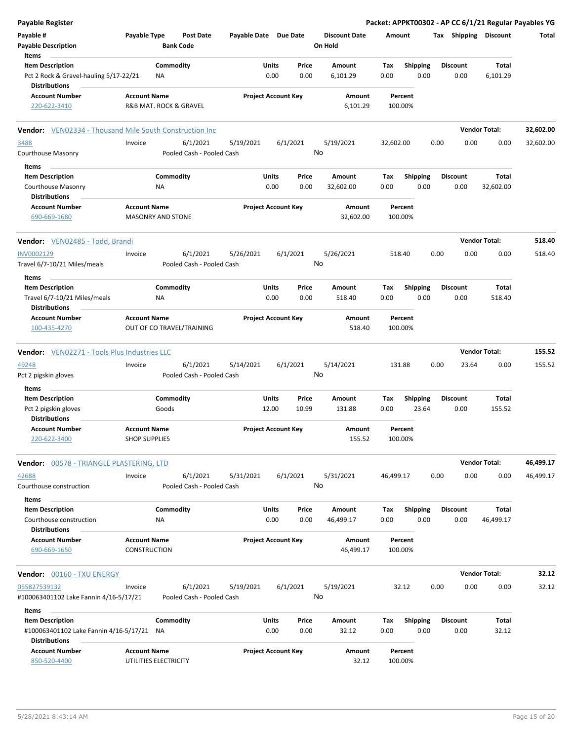| <b>Payable Register</b>                                                    |                                              |                 |                                       |                            |                            |                |                                 |             |                         |      |                         |                       | Packet: APPKT00302 - AP CC 6/1/21 Regular Payables YG |
|----------------------------------------------------------------------------|----------------------------------------------|-----------------|---------------------------------------|----------------------------|----------------------------|----------------|---------------------------------|-------------|-------------------------|------|-------------------------|-----------------------|-------------------------------------------------------|
| Payable #<br><b>Payable Description</b>                                    | Payable Type                                 |                 | <b>Post Date</b><br><b>Bank Code</b>  | Payable Date Due Date      |                            |                | <b>Discount Date</b><br>On Hold | Amount      |                         |      |                         | Tax Shipping Discount | Total                                                 |
| Items<br><b>Item Description</b>                                           |                                              | Commodity       |                                       |                            | Units                      | Price          | Amount                          | Tax         | <b>Shipping</b>         |      | <b>Discount</b>         | Total                 |                                                       |
| Pct 2 Rock & Gravel-hauling 5/17-22/21<br><b>Distributions</b>             |                                              | <b>NA</b>       |                                       |                            | 0.00                       | 0.00           | 6,101.29                        | 0.00        | 0.00                    |      | 0.00                    | 6,101.29              |                                                       |
| <b>Account Number</b>                                                      | <b>Account Name</b>                          |                 |                                       | <b>Project Account Key</b> |                            |                | Amount                          |             | Percent                 |      |                         |                       |                                                       |
| 220-622-3410                                                               | R&B MAT. ROCK & GRAVEL                       |                 |                                       |                            |                            |                | 6,101.29                        |             | 100.00%                 |      |                         |                       |                                                       |
| <b>Vendor:</b> VEN02334 - Thousand Mile South Construction Inc.            |                                              |                 |                                       |                            |                            |                |                                 |             |                         |      |                         | <b>Vendor Total:</b>  | 32,602.00                                             |
| 3488                                                                       | Invoice                                      |                 | 6/1/2021                              | 5/19/2021                  |                            | 6/1/2021       | 5/19/2021                       | 32,602.00   |                         | 0.00 | 0.00                    | 0.00                  | 32,602.00                                             |
| Courthouse Masonry                                                         |                                              |                 | Pooled Cash - Pooled Cash             |                            |                            |                | No                              |             |                         |      |                         |                       |                                                       |
| Items                                                                      |                                              |                 |                                       |                            |                            |                |                                 |             |                         |      |                         |                       |                                                       |
| <b>Item Description</b>                                                    |                                              | Commodity       |                                       |                            | Units                      | Price          | Amount                          | Тах         | <b>Shipping</b>         |      | <b>Discount</b>         | Total                 |                                                       |
| Courthouse Masonry<br><b>Distributions</b>                                 |                                              | NA              |                                       |                            | 0.00                       | 0.00           | 32,602.00                       | 0.00        | 0.00                    |      | 0.00                    | 32,602.00             |                                                       |
| <b>Account Number</b>                                                      | <b>Account Name</b>                          |                 |                                       |                            | <b>Project Account Key</b> |                | Amount                          |             | Percent                 |      |                         |                       |                                                       |
| 690-669-1680                                                               | <b>MASONRY AND STONE</b>                     |                 |                                       |                            |                            |                | 32,602.00                       |             | 100.00%                 |      |                         |                       |                                                       |
| Vendor: VEN02485 - Todd, Brandi                                            |                                              |                 |                                       |                            |                            |                |                                 |             |                         |      |                         | <b>Vendor Total:</b>  | 518.40                                                |
| INV0002129<br>Travel 6/7-10/21 Miles/meals                                 | Invoice                                      |                 | 6/1/2021<br>Pooled Cash - Pooled Cash | 5/26/2021                  |                            | 6/1/2021<br>No | 5/26/2021                       |             | 518.40                  | 0.00 | 0.00                    | 0.00                  | 518.40                                                |
| Items<br><b>Item Description</b>                                           |                                              | Commodity       |                                       |                            | Units                      | Price          | Amount                          | Тах         | <b>Shipping</b>         |      | <b>Discount</b>         | Total                 |                                                       |
| Travel 6/7-10/21 Miles/meals<br><b>Distributions</b>                       |                                              | ΝA              |                                       |                            | 0.00                       | 0.00           | 518.40                          | 0.00        | 0.00                    |      | 0.00                    | 518.40                |                                                       |
| <b>Account Number</b><br>100-435-4270                                      | <b>Account Name</b>                          |                 | OUT OF CO TRAVEL/TRAINING             |                            | <b>Project Account Key</b> |                | Amount<br>518.40                |             | Percent<br>100.00%      |      |                         |                       |                                                       |
| <b>Vendor:</b> VEN02271 - Tools Plus Industries LLC                        |                                              |                 |                                       |                            |                            |                |                                 |             |                         |      |                         | <b>Vendor Total:</b>  | 155.52                                                |
| 49248                                                                      | Invoice                                      |                 | 6/1/2021                              | 5/14/2021                  |                            | 6/1/2021       | 5/14/2021                       |             | 131.88                  | 0.00 | 23.64                   | 0.00                  | 155.52                                                |
| Pct 2 pigskin gloves                                                       |                                              |                 | Pooled Cash - Pooled Cash             |                            |                            |                | No                              |             |                         |      |                         |                       |                                                       |
| Items                                                                      |                                              |                 |                                       |                            |                            |                |                                 |             |                         |      |                         |                       |                                                       |
| <b>Item Description</b>                                                    |                                              | Commodity       |                                       |                            | Units                      | Price          | Amount                          | Тах         | <b>Shipping</b>         |      | <b>Discount</b>         | Total                 |                                                       |
| Pct 2 pigskin gloves<br><b>Distributions</b>                               |                                              | Goods           |                                       |                            | 12.00                      | 10.99          | 131.88                          | 0.00        | 23.64                   |      | 0.00                    | 155.52                |                                                       |
| <b>Account Number</b><br>220-622-3400                                      | <b>Account Name</b><br><b>SHOP SUPPLIES</b>  |                 |                                       |                            | <b>Project Account Key</b> |                | Amount<br>155.52                |             | Percent<br>100.00%      |      |                         |                       |                                                       |
| Vendor: 00578 - TRIANGLE PLASTERING, LTD                                   |                                              |                 |                                       |                            |                            |                |                                 |             |                         |      |                         | <b>Vendor Total:</b>  | 46,499.17                                             |
| 42688<br>Courthouse construction                                           | Invoice                                      |                 | 6/1/2021<br>Pooled Cash - Pooled Cash | 5/31/2021                  |                            | 6/1/2021       | 5/31/2021<br>No                 | 46,499.17   |                         | 0.00 | 0.00                    | 0.00                  | 46,499.17                                             |
| Items                                                                      |                                              |                 |                                       |                            |                            |                |                                 |             |                         |      |                         |                       |                                                       |
| <b>Item Description</b><br>Courthouse construction<br><b>Distributions</b> |                                              | Commodity<br>ΝA |                                       |                            | Units<br>0.00              | Price<br>0.00  | Amount<br>46,499.17             | Tax<br>0.00 | <b>Shipping</b><br>0.00 |      | <b>Discount</b><br>0.00 | Total<br>46,499.17    |                                                       |
| <b>Account Number</b><br>690-669-1650                                      | <b>Account Name</b><br>CONSTRUCTION          |                 |                                       |                            | <b>Project Account Key</b> |                | Amount<br>46,499.17             |             | Percent<br>100.00%      |      |                         |                       |                                                       |
|                                                                            |                                              |                 |                                       |                            |                            |                |                                 |             |                         |      |                         |                       |                                                       |
| Vendor: 00160 - TXU ENERGY                                                 |                                              |                 |                                       |                            |                            |                |                                 |             |                         |      |                         | <b>Vendor Total:</b>  | 32.12                                                 |
| 055827539132                                                               | Invoice                                      |                 | 6/1/2021                              | 5/19/2021                  |                            | 6/1/2021       | 5/19/2021                       |             | 32.12                   | 0.00 | 0.00                    | 0.00                  | 32.12                                                 |
| #100063401102 Lake Fannin 4/16-5/17/21                                     |                                              |                 | Pooled Cash - Pooled Cash             |                            |                            | No             |                                 |             |                         |      |                         |                       |                                                       |
| Items<br><b>Item Description</b>                                           |                                              | Commodity       |                                       |                            | Units                      | Price          | Amount                          | Tax         | <b>Shipping</b>         |      | <b>Discount</b>         | Total                 |                                                       |
| #100063401102 Lake Fannin 4/16-5/17/21 NA<br><b>Distributions</b>          |                                              |                 |                                       |                            | 0.00                       | 0.00           | 32.12                           | 0.00        | 0.00                    |      | 0.00                    | 32.12                 |                                                       |
| <b>Account Number</b><br>850-520-4400                                      | <b>Account Name</b><br>UTILITIES ELECTRICITY |                 |                                       |                            | <b>Project Account Key</b> |                | Amount<br>32.12                 |             | Percent<br>100.00%      |      |                         |                       |                                                       |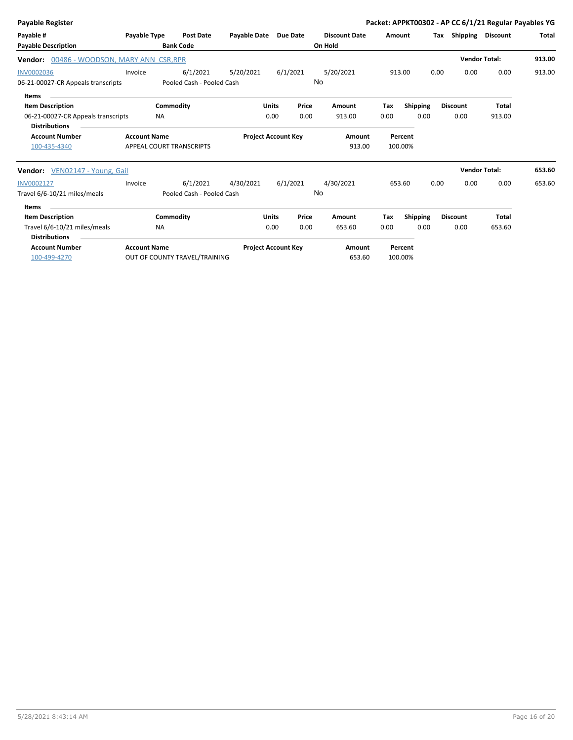| Payable Register                                     |                     |                               |                            |                 |          |                      |        |                 |      |                              | Packet: APPKT00302 - AP CC 6/1/21 Regular Payables YG |              |
|------------------------------------------------------|---------------------|-------------------------------|----------------------------|-----------------|----------|----------------------|--------|-----------------|------|------------------------------|-------------------------------------------------------|--------------|
| Payable #                                            | Payable Type        | <b>Post Date</b>              | <b>Payable Date</b>        | <b>Due Date</b> |          | <b>Discount Date</b> | Amount |                 |      | <b>Tax Shipping Discount</b> |                                                       | <b>Total</b> |
| <b>Payable Description</b>                           |                     | <b>Bank Code</b>              |                            |                 |          | On Hold              |        |                 |      |                              |                                                       |              |
| Vendor: 00486 - WOODSON, MARY ANN CSR, RPR           |                     |                               |                            |                 |          |                      |        |                 |      |                              | <b>Vendor Total:</b>                                  | 913.00       |
| <b>INV0002036</b>                                    | Invoice             | 6/1/2021                      | 5/20/2021                  |                 | 6/1/2021 | 5/20/2021            |        | 913.00          | 0.00 | 0.00                         | 0.00                                                  | 913.00       |
| 06-21-00027-CR Appeals transcripts                   |                     | Pooled Cash - Pooled Cash     |                            |                 | No       |                      |        |                 |      |                              |                                                       |              |
| <b>Items</b>                                         |                     |                               |                            |                 |          |                      |        |                 |      |                              |                                                       |              |
| <b>Item Description</b>                              |                     | Commodity                     |                            | <b>Units</b>    | Price    | Amount               | Tax    | <b>Shipping</b> |      | <b>Discount</b>              | <b>Total</b>                                          |              |
| 06-21-00027-CR Appeals transcripts                   |                     | <b>NA</b>                     |                            | 0.00            | 0.00     | 913.00               | 0.00   | 0.00            |      | 0.00                         | 913.00                                                |              |
| <b>Distributions</b>                                 |                     |                               |                            |                 |          |                      |        |                 |      |                              |                                                       |              |
| <b>Account Number</b>                                | <b>Account Name</b> |                               | <b>Project Account Key</b> |                 |          | Amount               |        | Percent         |      |                              |                                                       |              |
| 100-435-4340                                         |                     | APPEAL COURT TRANSCRIPTS      |                            |                 |          | 913.00               |        | 100.00%         |      |                              |                                                       |              |
| Vendor: VEN02147 - Young, Gail                       |                     |                               |                            |                 |          |                      |        |                 |      |                              | <b>Vendor Total:</b>                                  | 653.60       |
| INV0002127                                           | Invoice             | 6/1/2021                      | 4/30/2021                  |                 | 6/1/2021 | 4/30/2021            |        | 653.60          | 0.00 | 0.00                         | 0.00                                                  | 653.60       |
| Travel 6/6-10/21 miles/meals                         |                     | Pooled Cash - Pooled Cash     |                            |                 | No       |                      |        |                 |      |                              |                                                       |              |
| <b>Items</b>                                         |                     |                               |                            |                 |          |                      |        |                 |      |                              |                                                       |              |
| <b>Item Description</b>                              |                     | Commodity                     |                            | <b>Units</b>    | Price    | Amount               | Tax    | <b>Shipping</b> |      | <b>Discount</b>              | <b>Total</b>                                          |              |
| Travel 6/6-10/21 miles/meals<br><b>Distributions</b> |                     | <b>NA</b>                     |                            | 0.00            | 0.00     | 653.60               | 0.00   | 0.00            |      | 0.00                         | 653.60                                                |              |
| <b>Account Number</b>                                | <b>Account Name</b> |                               | <b>Project Account Key</b> |                 |          | Amount               |        | Percent         |      |                              |                                                       |              |
| 100-499-4270                                         |                     | OUT OF COUNTY TRAVEL/TRAINING |                            |                 |          | 653.60               |        | 100.00%         |      |                              |                                                       |              |
|                                                      |                     |                               |                            |                 |          |                      |        |                 |      |                              |                                                       |              |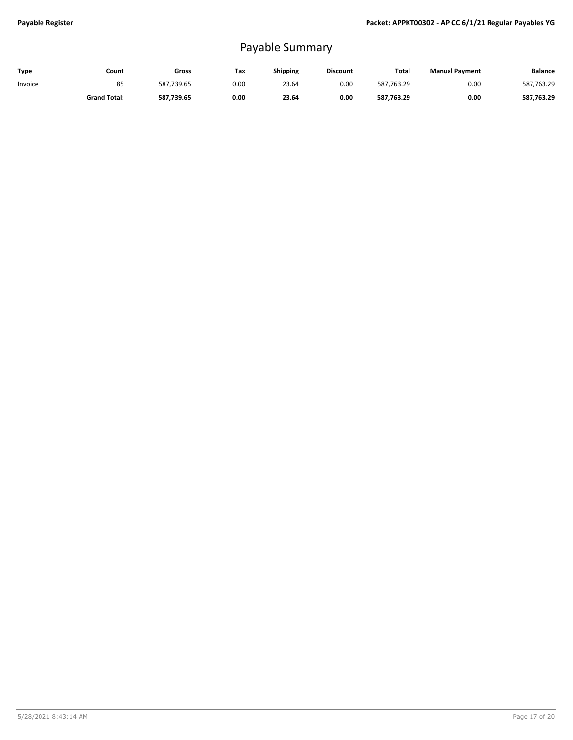## Payable Summary

| Type    | Count               | Gross      | Tax  | Shipping | <b>Discount</b> | Total      | <b>Manual Payment</b> | <b>Balance</b> |
|---------|---------------------|------------|------|----------|-----------------|------------|-----------------------|----------------|
| Invoice | 85                  | 587.739.65 | 0.00 | 23.64    | 0.00            | 587.763.29 | 0.00                  | 587,763.29     |
|         | <b>Grand Total:</b> | 587.739.65 | 0.00 | 23.64    | 0.00            | 587,763.29 | 0.00                  | 587,763.29     |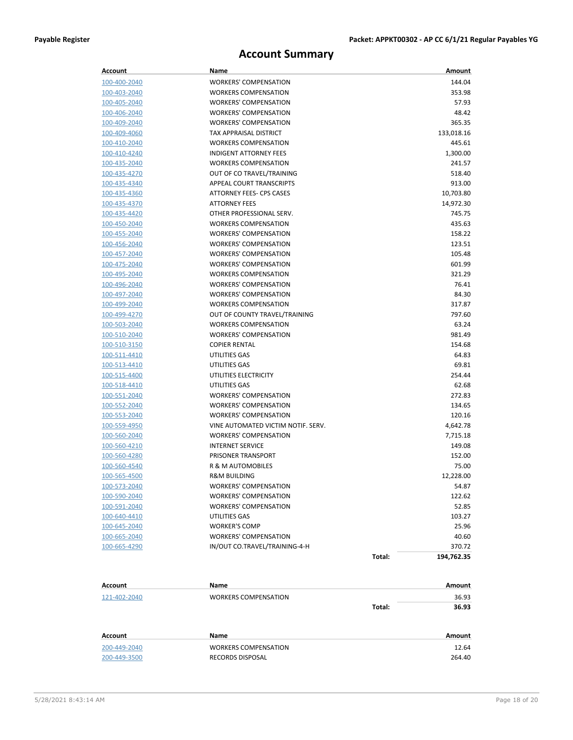### **Account Summary**

| Account             | Name                               |        | Amount     |
|---------------------|------------------------------------|--------|------------|
| 100-400-2040        | <b>WORKERS' COMPENSATION</b>       |        | 144.04     |
| 100-403-2040        | <b>WORKERS COMPENSATION</b>        |        | 353.98     |
| 100-405-2040        | <b>WORKERS' COMPENSATION</b>       |        | 57.93      |
| 100-406-2040        | <b>WORKERS' COMPENSATION</b>       |        | 48.42      |
| 100-409-2040        | <b>WORKERS' COMPENSATION</b>       |        | 365.35     |
| 100-409-4060        | TAX APPRAISAL DISTRICT             |        | 133,018.16 |
| 100-410-2040        | <b>WORKERS COMPENSATION</b>        |        | 445.61     |
| 100-410-4240        | <b>INDIGENT ATTORNEY FEES</b>      |        | 1,300.00   |
| 100-435-2040        | <b>WORKERS COMPENSATION</b>        |        | 241.57     |
| 100-435-4270        | OUT OF CO TRAVEL/TRAINING          |        | 518.40     |
| 100-435-4340        | APPEAL COURT TRANSCRIPTS           |        | 913.00     |
| 100-435-4360        | ATTORNEY FEES- CPS CASES           |        | 10,703.80  |
| 100-435-4370        | <b>ATTORNEY FEES</b>               |        | 14,972.30  |
| 100-435-4420        | OTHER PROFESSIONAL SERV.           |        | 745.75     |
| 100-450-2040        | <b>WORKERS COMPENSATION</b>        |        | 435.63     |
| 100-455-2040        | <b>WORKERS' COMPENSATION</b>       |        | 158.22     |
| 100-456-2040        | <b>WORKERS' COMPENSATION</b>       |        | 123.51     |
| 100-457-2040        | <b>WORKERS' COMPENSATION</b>       |        | 105.48     |
| 100-475-2040        | <b>WORKERS' COMPENSATION</b>       |        | 601.99     |
| 100-495-2040        | <b>WORKERS COMPENSATION</b>        |        | 321.29     |
| 100-496-2040        | <b>WORKERS' COMPENSATION</b>       |        | 76.41      |
| 100-497-2040        | <b>WORKERS' COMPENSATION</b>       |        | 84.30      |
| 100-499-2040        | <b>WORKERS COMPENSATION</b>        |        | 317.87     |
| 100-499-4270        | OUT OF COUNTY TRAVEL/TRAINING      |        | 797.60     |
| 100-503-2040        | <b>WORKERS COMPENSATION</b>        |        | 63.24      |
| 100-510-2040        | <b>WORKERS' COMPENSATION</b>       |        | 981.49     |
| 100-510-3150        | <b>COPIER RENTAL</b>               |        | 154.68     |
| 100-511-4410        | UTILITIES GAS                      |        | 64.83      |
| <u>100-513-4410</u> | UTILITIES GAS                      |        | 69.81      |
| 100-515-4400        | UTILITIES ELECTRICITY              |        | 254.44     |
| 100-518-4410        | UTILITIES GAS                      |        | 62.68      |
| 100-551-2040        | <b>WORKERS' COMPENSATION</b>       |        | 272.83     |
| 100-552-2040        | <b>WORKERS' COMPENSATION</b>       |        | 134.65     |
| 100-553-2040        | <b>WORKERS' COMPENSATION</b>       |        | 120.16     |
| 100-559-4950        | VINE AUTOMATED VICTIM NOTIF. SERV. |        | 4,642.78   |
| 100-560-2040        | <b>WORKERS' COMPENSATION</b>       |        | 7,715.18   |
| 100-560-4210        | <b>INTERNET SERVICE</b>            |        | 149.08     |
| 100-560-4280        | PRISONER TRANSPORT                 |        | 152.00     |
| 100-560-4540        | R & M AUTOMOBILES                  |        | 75.00      |
| 100-565-4500        | <b>R&amp;M BUILDING</b>            |        | 12,228.00  |
| 100-573-2040        | WORKERS' COMPENSATION              |        | 54.87      |
| 100-590-2040        | <b>WORKERS' COMPENSATION</b>       |        | 122.62     |
| 100-591-2040        | <b>WORKERS' COMPENSATION</b>       |        | 52.85      |
| 100-640-4410        | UTILITIES GAS                      |        | 103.27     |
| <u>100-645-2040</u> | <b>WORKER'S COMP</b>               |        | 25.96      |
| <u>100-665-2040</u> | <b>WORKERS' COMPENSATION</b>       |        | 40.60      |
| 100-665-4290        | IN/OUT CO.TRAVEL/TRAINING-4-H      |        | 370.72     |
|                     |                                    | Total: | 194,762.35 |
| Account             | Name                               |        | Amount     |
| 121-402-2040        | <b>WORKERS COMPENSATION</b>        |        | 36.93      |
|                     |                                    | Total: | 36.93      |
|                     |                                    |        |            |

| Account      | Name                 | Amount |
|--------------|----------------------|--------|
| 200-449-2040 | WORKERS COMPENSATION | 12.64  |
| 200-449-3500 | RECORDS DISPOSAL     | 264.40 |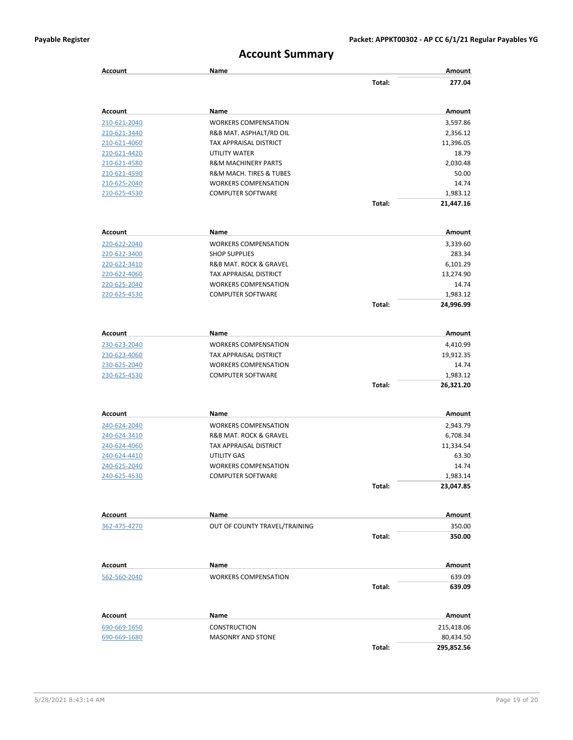### **Account Summary**

| <b>Account</b>               | Name                                            |        | Amount                  |
|------------------------------|-------------------------------------------------|--------|-------------------------|
|                              |                                                 | Total: | 277.04                  |
| Account                      | Name                                            |        | Amount                  |
| 210-621-2040                 | <b>WORKERS COMPENSATION</b>                     |        | 3,597.86                |
| 210-621-3440                 | R&B MAT. ASPHALT/RD OIL                         |        | 2,356.12                |
| 210-621-4060                 | TAX APPRAISAL DISTRICT                          |        | 11,396.05               |
| 210-621-4420                 | UTILITY WATER                                   |        | 18.79                   |
| 210-621-4580                 | <b>R&amp;M MACHINERY PARTS</b>                  |        | 2,030.48                |
| 210-621-4590                 | <b>R&amp;M MACH. TIRES &amp; TUBES</b>          |        | 50.00                   |
| 210-625-2040                 | <b>WORKERS COMPENSATION</b>                     |        | 14.74                   |
| 210-625-4530                 | <b>COMPUTER SOFTWARE</b>                        |        | 1,983.12                |
|                              |                                                 | Total: | 21,447.16               |
| Account                      | Name                                            |        | Amount                  |
| 220-622-2040                 | <b>WORKERS COMPENSATION</b>                     |        | 3,339.60                |
| 220-622-3400                 | <b>SHOP SUPPLIES</b>                            |        | 283.34                  |
| 220-622-3410                 | R&B MAT. ROCK & GRAVEL                          |        | 6,101.29                |
| 220-622-4060                 | <b>TAX APPRAISAL DISTRICT</b>                   |        | 13,274.90               |
| 220-625-2040                 | <b>WORKERS COMPENSATION</b>                     |        | 14.74                   |
| 220-625-4530                 | <b>COMPUTER SOFTWARE</b>                        |        | 1,983.12                |
|                              |                                                 | Total: | 24,996.99               |
| Account                      | Name                                            |        | Amount                  |
| 230-623-2040                 | <b>WORKERS COMPENSATION</b>                     |        | 4,410.99                |
| 230-623-4060                 | TAX APPRAISAL DISTRICT                          |        | 19,912.35               |
| 230-625-2040                 | <b>WORKERS COMPENSATION</b>                     |        | 14.74                   |
| 230-625-4530                 | <b>COMPUTER SOFTWARE</b>                        |        | 1,983.12                |
|                              |                                                 | Total: | 26,321.20               |
|                              |                                                 |        |                         |
| Account                      | Name                                            |        | Amount                  |
| 240-624-2040                 | <b>WORKERS COMPENSATION</b>                     |        | 2,943.79                |
| 240-624-3410                 | R&B MAT. ROCK & GRAVEL                          |        | 6,708.34                |
| 240-624-4060                 | TAX APPRAISAL DISTRICT                          |        | 11,334.54               |
| 240-624-4410                 | UTILITY GAS                                     |        | 63.30                   |
| 240-625-2040                 | <b>WORKERS COMPENSATION</b>                     |        | 14.74                   |
| 240-625-4530                 | <b>COMPUTER SOFTWARE</b>                        |        | 1,983.14<br>23,047.85   |
|                              |                                                 | Total: |                         |
| Account                      | Name                                            |        | Amount                  |
| 362-475-4270                 | OUT OF COUNTY TRAVEL/TRAINING                   |        | 350.00                  |
|                              |                                                 | Total: | 350.00                  |
| Account                      | Name                                            |        | Amount                  |
| 562-560-2040                 | <b>WORKERS COMPENSATION</b>                     |        | 639.09                  |
|                              |                                                 | Total: | 639.09                  |
| Account                      | Name                                            |        | Amount                  |
|                              |                                                 |        |                         |
| 690-669-1650<br>690-669-1680 | <b>CONSTRUCTION</b><br><b>MASONRY AND STONE</b> |        | 215,418.06<br>80,434.50 |
|                              |                                                 | Total: | 295,852.56              |
|                              |                                                 |        |                         |